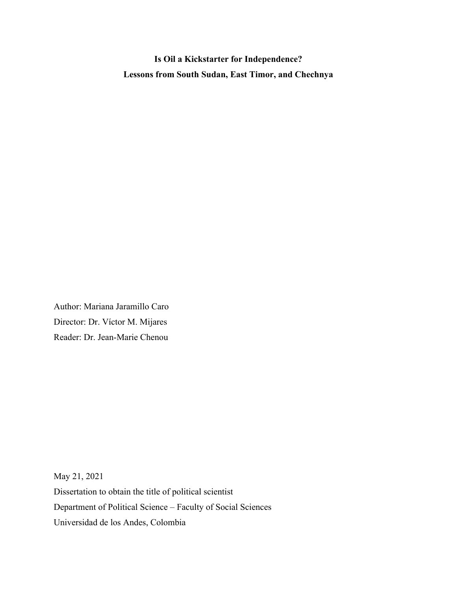**Is Oil a Kickstarter for Independence? Lessons from South Sudan, East Timor, and Chechnya**

Author: Mariana Jaramillo Caro Director: Dr. Víctor M. Mijares Reader: Dr. Jean-Marie Chenou

May 21, 2021 Dissertation to obtain the title of political scientist Department of Political Science – Faculty of Social Sciences Universidad de los Andes, Colombia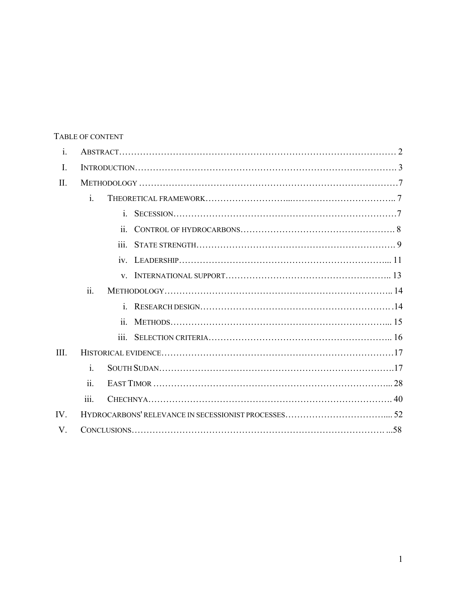# TABLE OF CONTENT

| i.   |                    |                    |  |  |
|------|--------------------|--------------------|--|--|
| I.   |                    |                    |  |  |
| II.  |                    |                    |  |  |
|      | $\mathbf{i}$ .     |                    |  |  |
|      |                    | $\mathbf{i}$       |  |  |
|      |                    | ii.                |  |  |
|      |                    | $\overline{111}$ . |  |  |
|      |                    |                    |  |  |
|      |                    |                    |  |  |
|      | ii.                |                    |  |  |
|      |                    |                    |  |  |
|      |                    | $\overline{11}$ .  |  |  |
|      |                    | 111.               |  |  |
| III. |                    |                    |  |  |
|      | i.                 |                    |  |  |
|      | ii.                |                    |  |  |
|      | $\overline{111}$ . |                    |  |  |
| IV.  |                    |                    |  |  |
| V.   |                    |                    |  |  |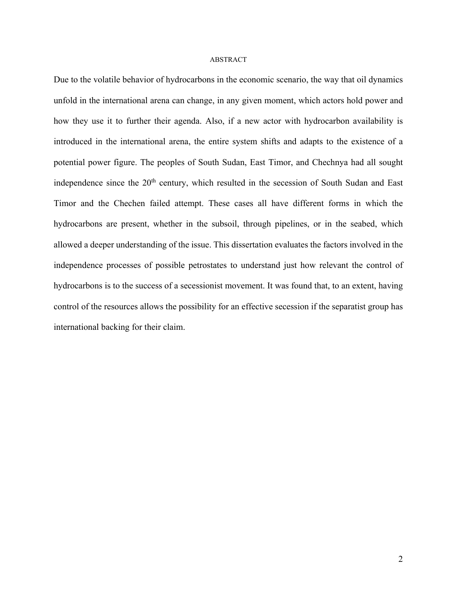#### ABSTRACT

Due to the volatile behavior of hydrocarbons in the economic scenario, the way that oil dynamics unfold in the international arena can change, in any given moment, which actors hold power and how they use it to further their agenda. Also, if a new actor with hydrocarbon availability is introduced in the international arena, the entire system shifts and adapts to the existence of a potential power figure. The peoples of South Sudan, East Timor, and Chechnya had all sought independence since the 20<sup>th</sup> century, which resulted in the secession of South Sudan and East Timor and the Chechen failed attempt. These cases all have different forms in which the hydrocarbons are present, whether in the subsoil, through pipelines, or in the seabed, which allowed a deeper understanding of the issue. This dissertation evaluates the factors involved in the independence processes of possible petrostates to understand just how relevant the control of hydrocarbons is to the success of a secessionist movement. It was found that, to an extent, having control of the resources allows the possibility for an effective secession if the separatist group has international backing for their claim.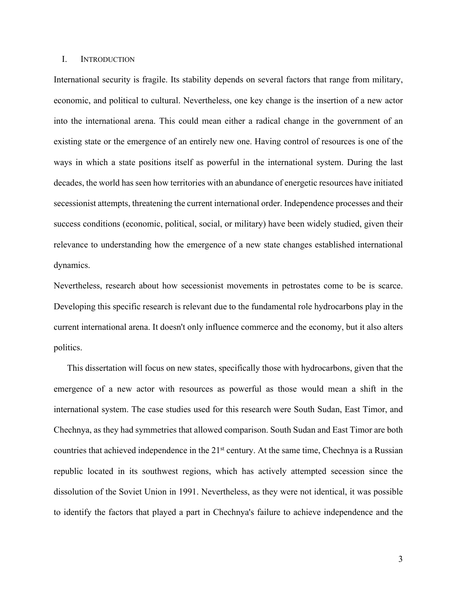#### I. INTRODUCTION

International security is fragile. Its stability depends on several factors that range from military, economic, and political to cultural. Nevertheless, one key change is the insertion of a new actor into the international arena. This could mean either a radical change in the government of an existing state or the emergence of an entirely new one. Having control of resources is one of the ways in which a state positions itself as powerful in the international system. During the last decades, the world has seen how territories with an abundance of energetic resources have initiated secessionist attempts, threatening the current international order. Independence processes and their success conditions (economic, political, social, or military) have been widely studied, given their relevance to understanding how the emergence of a new state changes established international dynamics.

Nevertheless, research about how secessionist movements in petrostates come to be is scarce. Developing this specific research is relevant due to the fundamental role hydrocarbons play in the current international arena. It doesn't only influence commerce and the economy, but it also alters politics.

This dissertation will focus on new states, specifically those with hydrocarbons, given that the emergence of a new actor with resources as powerful as those would mean a shift in the international system. The case studies used for this research were South Sudan, East Timor, and Chechnya, as they had symmetries that allowed comparison. South Sudan and East Timor are both countries that achieved independence in the 21<sup>st</sup> century. At the same time, Chechnya is a Russian republic located in its southwest regions, which has actively attempted secession since the dissolution of the Soviet Union in 1991. Nevertheless, as they were not identical, it was possible to identify the factors that played a part in Chechnya's failure to achieve independence and the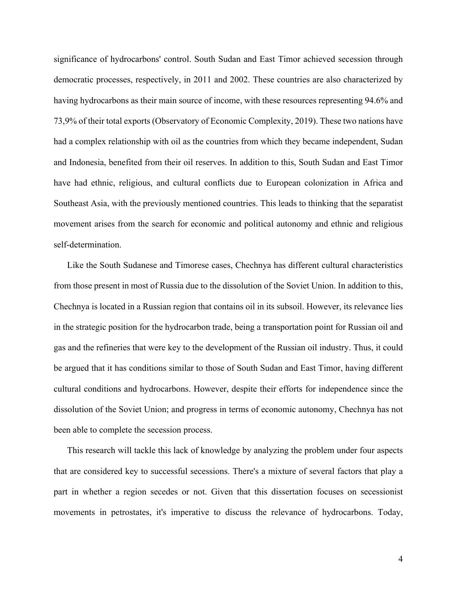significance of hydrocarbons' control. South Sudan and East Timor achieved secession through democratic processes, respectively, in 2011 and 2002. These countries are also characterized by having hydrocarbons as their main source of income, with these resources representing 94.6% and 73,9% of their total exports (Observatory of Economic Complexity, 2019). These two nations have had a complex relationship with oil as the countries from which they became independent, Sudan and Indonesia, benefited from their oil reserves. In addition to this, South Sudan and East Timor have had ethnic, religious, and cultural conflicts due to European colonization in Africa and Southeast Asia, with the previously mentioned countries. This leads to thinking that the separatist movement arises from the search for economic and political autonomy and ethnic and religious self-determination.

Like the South Sudanese and Timorese cases, Chechnya has different cultural characteristics from those present in most of Russia due to the dissolution of the Soviet Union. In addition to this, Chechnya is located in a Russian region that contains oil in its subsoil. However, its relevance lies in the strategic position for the hydrocarbon trade, being a transportation point for Russian oil and gas and the refineries that were key to the development of the Russian oil industry. Thus, it could be argued that it has conditions similar to those of South Sudan and East Timor, having different cultural conditions and hydrocarbons. However, despite their efforts for independence since the dissolution of the Soviet Union; and progress in terms of economic autonomy, Chechnya has not been able to complete the secession process.

This research will tackle this lack of knowledge by analyzing the problem under four aspects that are considered key to successful secessions. There's a mixture of several factors that play a part in whether a region secedes or not. Given that this dissertation focuses on secessionist movements in petrostates, it's imperative to discuss the relevance of hydrocarbons. Today,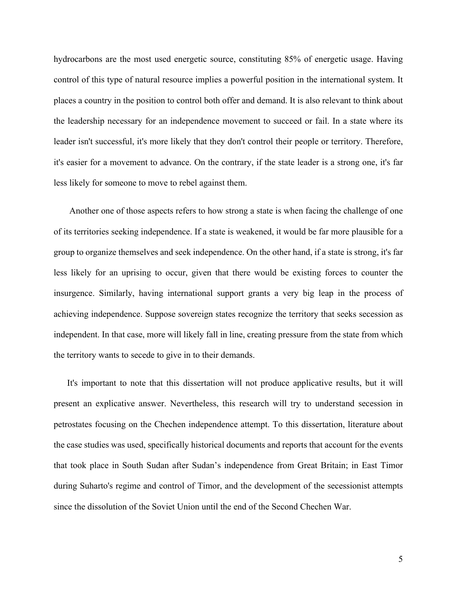hydrocarbons are the most used energetic source, constituting 85% of energetic usage. Having control of this type of natural resource implies a powerful position in the international system. It places a country in the position to control both offer and demand. It is also relevant to think about the leadership necessary for an independence movement to succeed or fail. In a state where its leader isn't successful, it's more likely that they don't control their people or territory. Therefore, it's easier for a movement to advance. On the contrary, if the state leader is a strong one, it's far less likely for someone to move to rebel against them.

Another one of those aspects refers to how strong a state is when facing the challenge of one of its territories seeking independence. If a state is weakened, it would be far more plausible for a group to organize themselves and seek independence. On the other hand, if a state is strong, it's far less likely for an uprising to occur, given that there would be existing forces to counter the insurgence. Similarly, having international support grants a very big leap in the process of achieving independence. Suppose sovereign states recognize the territory that seeks secession as independent. In that case, more will likely fall in line, creating pressure from the state from which the territory wants to secede to give in to their demands.

It's important to note that this dissertation will not produce applicative results, but it will present an explicative answer. Nevertheless, this research will try to understand secession in petrostates focusing on the Chechen independence attempt. To this dissertation, literature about the case studies was used, specifically historical documents and reports that account for the events that took place in South Sudan after Sudan's independence from Great Britain; in East Timor during Suharto's regime and control of Timor, and the development of the secessionist attempts since the dissolution of the Soviet Union until the end of the Second Chechen War.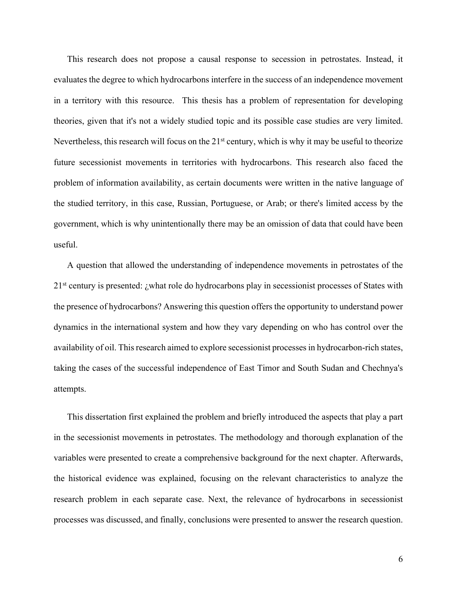This research does not propose a causal response to secession in petrostates. Instead, it evaluates the degree to which hydrocarbons interfere in the success of an independence movement in a territory with this resource. This thesis has a problem of representation for developing theories, given that it's not a widely studied topic and its possible case studies are very limited. Nevertheless, this research will focus on the  $21<sup>st</sup>$  century, which is why it may be useful to theorize future secessionist movements in territories with hydrocarbons. This research also faced the problem of information availability, as certain documents were written in the native language of the studied territory, in this case, Russian, Portuguese, or Arab; or there's limited access by the government, which is why unintentionally there may be an omission of data that could have been useful.

A question that allowed the understanding of independence movements in petrostates of the 21<sup>st</sup> century is presented: ¿what role do hydrocarbons play in secessionist processes of States with the presence of hydrocarbons? Answering this question offers the opportunity to understand power dynamics in the international system and how they vary depending on who has control over the availability of oil. This research aimed to explore secessionist processes in hydrocarbon-rich states, taking the cases of the successful independence of East Timor and South Sudan and Chechnya's attempts.

This dissertation first explained the problem and briefly introduced the aspects that play a part in the secessionist movements in petrostates. The methodology and thorough explanation of the variables were presented to create a comprehensive background for the next chapter. Afterwards, the historical evidence was explained, focusing on the relevant characteristics to analyze the research problem in each separate case. Next, the relevance of hydrocarbons in secessionist processes was discussed, and finally, conclusions were presented to answer the research question.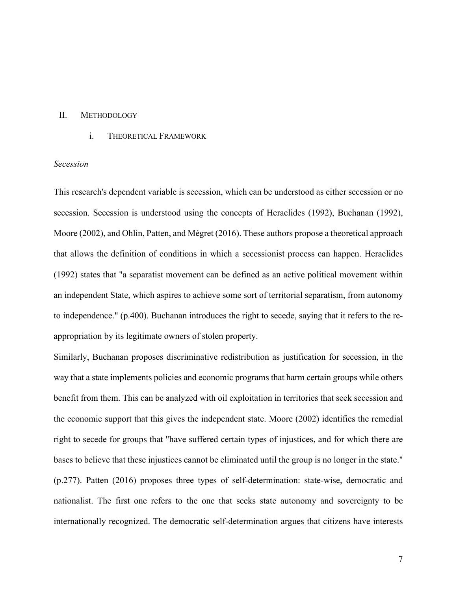# II. METHODOLOGY

i. THEORETICAL FRAMEWORK

# *Secession*

This research's dependent variable is secession, which can be understood as either secession or no secession. Secession is understood using the concepts of Heraclides (1992), Buchanan (1992), Moore (2002), and Ohlin, Patten, and Mégret (2016). These authors propose a theoretical approach that allows the definition of conditions in which a secessionist process can happen. Heraclides (1992) states that "a separatist movement can be defined as an active political movement within an independent State, which aspires to achieve some sort of territorial separatism, from autonomy to independence." (p.400). Buchanan introduces the right to secede, saying that it refers to the reappropriation by its legitimate owners of stolen property.

Similarly, Buchanan proposes discriminative redistribution as justification for secession, in the way that a state implements policies and economic programs that harm certain groups while others benefit from them. This can be analyzed with oil exploitation in territories that seek secession and the economic support that this gives the independent state. Moore (2002) identifies the remedial right to secede for groups that "have suffered certain types of injustices, and for which there are bases to believe that these injustices cannot be eliminated until the group is no longer in the state." (p.277). Patten (2016) proposes three types of self-determination: state-wise, democratic and nationalist. The first one refers to the one that seeks state autonomy and sovereignty to be internationally recognized. The democratic self-determination argues that citizens have interests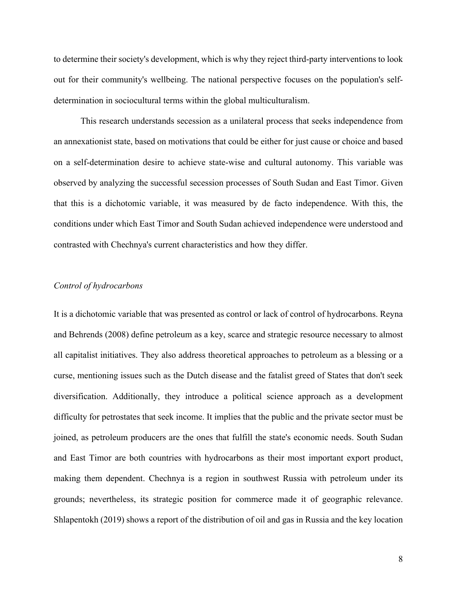to determine their society's development, which is why they reject third-party interventions to look out for their community's wellbeing. The national perspective focuses on the population's selfdetermination in sociocultural terms within the global multiculturalism.

This research understands secession as a unilateral process that seeks independence from an annexationist state, based on motivations that could be either for just cause or choice and based on a self-determination desire to achieve state-wise and cultural autonomy. This variable was observed by analyzing the successful secession processes of South Sudan and East Timor. Given that this is a dichotomic variable, it was measured by de facto independence. With this, the conditions under which East Timor and South Sudan achieved independence were understood and contrasted with Chechnya's current characteristics and how they differ.

#### *Control of hydrocarbons*

It is a dichotomic variable that was presented as control or lack of control of hydrocarbons. Reyna and Behrends (2008) define petroleum as a key, scarce and strategic resource necessary to almost all capitalist initiatives. They also address theoretical approaches to petroleum as a blessing or a curse, mentioning issues such as the Dutch disease and the fatalist greed of States that don't seek diversification. Additionally, they introduce a political science approach as a development difficulty for petrostates that seek income. It implies that the public and the private sector must be joined, as petroleum producers are the ones that fulfill the state's economic needs. South Sudan and East Timor are both countries with hydrocarbons as their most important export product, making them dependent. Chechnya is a region in southwest Russia with petroleum under its grounds; nevertheless, its strategic position for commerce made it of geographic relevance. Shlapentokh (2019) shows a report of the distribution of oil and gas in Russia and the key location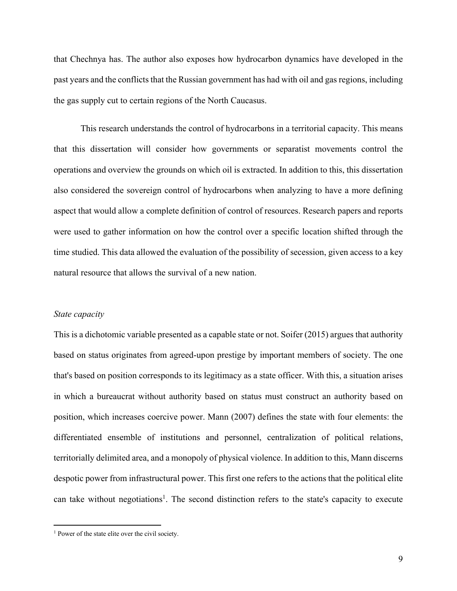that Chechnya has. The author also exposes how hydrocarbon dynamics have developed in the past years and the conflicts that the Russian government has had with oil and gas regions, including the gas supply cut to certain regions of the North Caucasus.

This research understands the control of hydrocarbons in a territorial capacity. This means that this dissertation will consider how governments or separatist movements control the operations and overview the grounds on which oil is extracted. In addition to this, this dissertation also considered the sovereign control of hydrocarbons when analyzing to have a more defining aspect that would allow a complete definition of control of resources. Research papers and reports were used to gather information on how the control over a specific location shifted through the time studied. This data allowed the evaluation of the possibility of secession, given access to a key natural resource that allows the survival of a new nation.

#### *State capacity*

This is a dichotomic variable presented as a capable state or not. Soifer (2015) argues that authority based on status originates from agreed-upon prestige by important members of society. The one that's based on position corresponds to its legitimacy as a state officer. With this, a situation arises in which a bureaucrat without authority based on status must construct an authority based on position, which increases coercive power. Mann (2007) defines the state with four elements: the differentiated ensemble of institutions and personnel, centralization of political relations, territorially delimited area, and a monopoly of physical violence. In addition to this, Mann discerns despotic power from infrastructural power. This first one refers to the actions that the political elite can take without negotiations<sup>1</sup>. The second distinction refers to the state's capacity to execute

<sup>&</sup>lt;sup>1</sup> Power of the state elite over the civil society.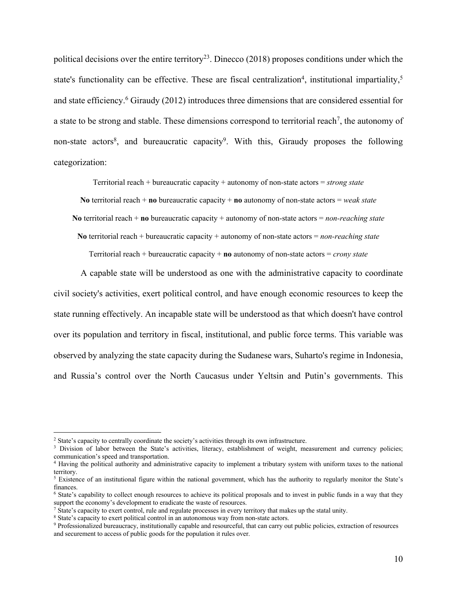political decisions over the entire territory<sup>23</sup>. Dinecco (2018) proposes conditions under which the state's functionality can be effective. These are fiscal centralization<sup>4</sup>, institutional impartiality,<sup>5</sup> and state efficiency. <sup>6</sup> Giraudy (2012) introduces three dimensions that are considered essential for a state to be strong and stable. These dimensions correspond to territorial reach<sup>7</sup>, the autonomy of non-state actors<sup>8</sup>, and bureaucratic capacity<sup>9</sup>. With this, Giraudy proposes the following categorization:

Territorial reach + bureaucratic capacity + autonomy of non-state actors = *strong state*

**No** territorial reach + **no** bureaucratic capacity + **no** autonomy of non-state actors = *weak state*

**No** territorial reach + **no** bureaucratic capacity + autonomy of non-state actors = *non-reaching state*

**No** territorial reach + bureaucratic capacity + autonomy of non-state actors = *non-reaching state*

Territorial reach + bureaucratic capacity + **no** autonomy of non-state actors = *crony state*

A capable state will be understood as one with the administrative capacity to coordinate civil society's activities, exert political control, and have enough economic resources to keep the state running effectively. An incapable state will be understood as that which doesn't have control over its population and territory in fiscal, institutional, and public force terms. This variable was observed by analyzing the state capacity during the Sudanese wars, Suharto's regime in Indonesia, and Russia's control over the North Caucasus under Yeltsin and Putin's governments. This

<sup>2</sup> State's capacity to centrally coordinate the society's activities through its own infrastructure.

<sup>&</sup>lt;sup>3</sup> Division of labor between the State's activities, literacy, establishment of weight, measurement and currency policies; communication's speed and transportation.

<sup>&</sup>lt;sup>4</sup> Having the political authority and administrative capacity to implement a tributary system with uniform taxes to the national territory.

<sup>5</sup> Existence of an institutional figure within the national government, which has the authority to regularly monitor the State's finances.

<sup>&</sup>lt;sup>6</sup> State's capability to collect enough resources to achieve its political proposals and to invest in public funds in a way that they support the economy's development to eradicate the waste of resources.

<sup>7</sup> State's capacity to exert control, rule and regulate processes in every territory that makes up the statal unity. 8 State's capacity to exert political control in an autonomous way from non-state actors.

<sup>9</sup> Professionalized bureaucracy, institutionally capable and resourceful, that can carry out public policies, extraction of resources and securement to access of public goods for the population it rules over.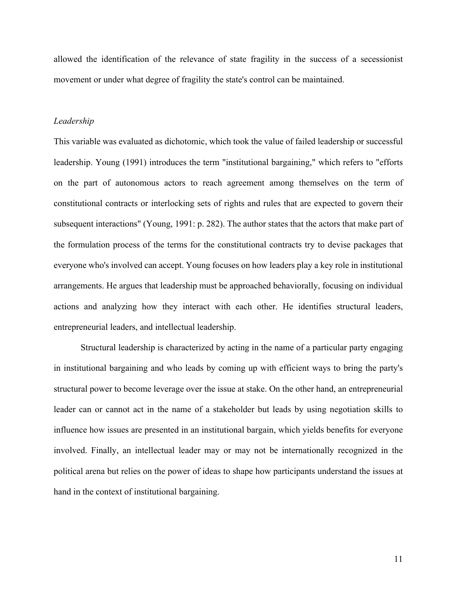allowed the identification of the relevance of state fragility in the success of a secessionist movement or under what degree of fragility the state's control can be maintained.

## *Leadership*

This variable was evaluated as dichotomic, which took the value of failed leadership or successful leadership. Young (1991) introduces the term "institutional bargaining," which refers to "efforts on the part of autonomous actors to reach agreement among themselves on the term of constitutional contracts or interlocking sets of rights and rules that are expected to govern their subsequent interactions" (Young, 1991: p. 282). The author states that the actors that make part of the formulation process of the terms for the constitutional contracts try to devise packages that everyone who's involved can accept. Young focuses on how leaders play a key role in institutional arrangements. He argues that leadership must be approached behaviorally, focusing on individual actions and analyzing how they interact with each other. He identifies structural leaders, entrepreneurial leaders, and intellectual leadership.

Structural leadership is characterized by acting in the name of a particular party engaging in institutional bargaining and who leads by coming up with efficient ways to bring the party's structural power to become leverage over the issue at stake. On the other hand, an entrepreneurial leader can or cannot act in the name of a stakeholder but leads by using negotiation skills to influence how issues are presented in an institutional bargain, which yields benefits for everyone involved. Finally, an intellectual leader may or may not be internationally recognized in the political arena but relies on the power of ideas to shape how participants understand the issues at hand in the context of institutional bargaining.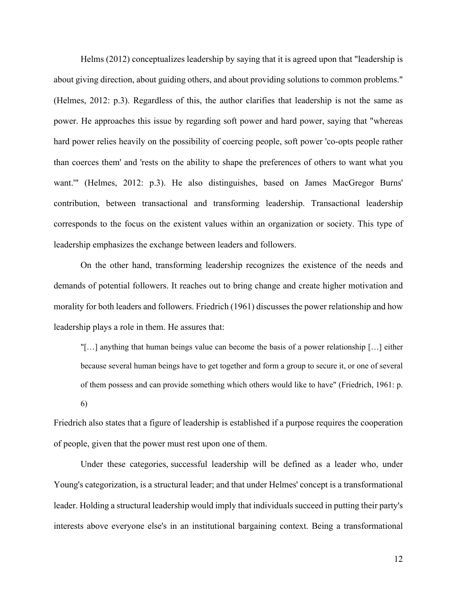Helms (2012) conceptualizes leadership by saying that it is agreed upon that "leadership is about giving direction, about guiding others, and about providing solutions to common problems." (Helmes, 2012: p.3). Regardless of this, the author clarifies that leadership is not the same as power. He approaches this issue by regarding soft power and hard power, saying that "whereas hard power relies heavily on the possibility of coercing people, soft power 'co-opts people rather than coerces them' and 'rests on the ability to shape the preferences of others to want what you want.'" (Helmes, 2012: p.3). He also distinguishes, based on James MacGregor Burns' contribution, between transactional and transforming leadership. Transactional leadership corresponds to the focus on the existent values within an organization or society. This type of leadership emphasizes the exchange between leaders and followers.

On the other hand, transforming leadership recognizes the existence of the needs and demands of potential followers. It reaches out to bring change and create higher motivation and morality for both leaders and followers. Friedrich (1961) discusses the power relationship and how leadership plays a role in them. He assures that:

"[…] anything that human beings value can become the basis of a power relationship […] either because several human beings have to get together and form a group to secure it, or one of several of them possess and can provide something which others would like to have" (Friedrich, 1961: p.

6)

Friedrich also states that a figure of leadership is established if a purpose requires the cooperation of people, given that the power must rest upon one of them.

Under these categories, successful leadership will be defined as a leader who, under Young's categorization, is a structural leader; and that under Helmes' concept is a transformational leader. Holding a structural leadership would imply that individuals succeed in putting their party's interests above everyone else's in an institutional bargaining context. Being a transformational

12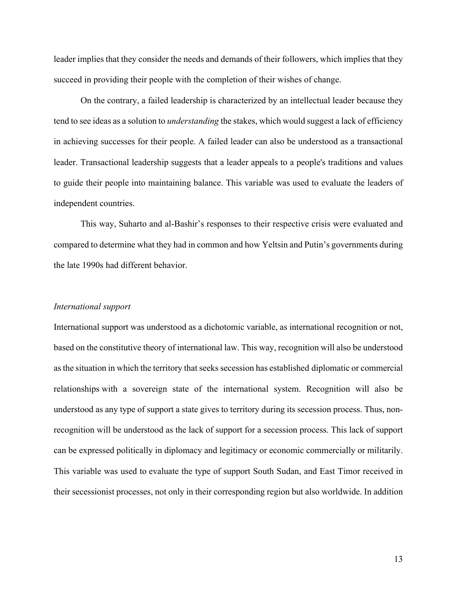leader implies that they consider the needs and demands of their followers, which implies that they succeed in providing their people with the completion of their wishes of change.

On the contrary, a failed leadership is characterized by an intellectual leader because they tend to see ideas as a solution to *understanding* the stakes, which would suggest a lack of efficiency in achieving successes for their people. A failed leader can also be understood as a transactional leader. Transactional leadership suggests that a leader appeals to a people's traditions and values to guide their people into maintaining balance. This variable was used to evaluate the leaders of independent countries.

This way, Suharto and al-Bashir's responses to their respective crisis were evaluated and compared to determine what they had in common and how Yeltsin and Putin's governments during the late 1990s had different behavior.

#### *International support*

International support was understood as a dichotomic variable, as international recognition or not, based on the constitutive theory of international law. This way, recognition will also be understood as the situation in which the territory that seeks secession has established diplomatic or commercial relationships with a sovereign state of the international system. Recognition will also be understood as any type of support a state gives to territory during its secession process. Thus, nonrecognition will be understood as the lack of support for a secession process. This lack of support can be expressed politically in diplomacy and legitimacy or economic commercially or militarily. This variable was used to evaluate the type of support South Sudan, and East Timor received in their secessionist processes, not only in their corresponding region but also worldwide. In addition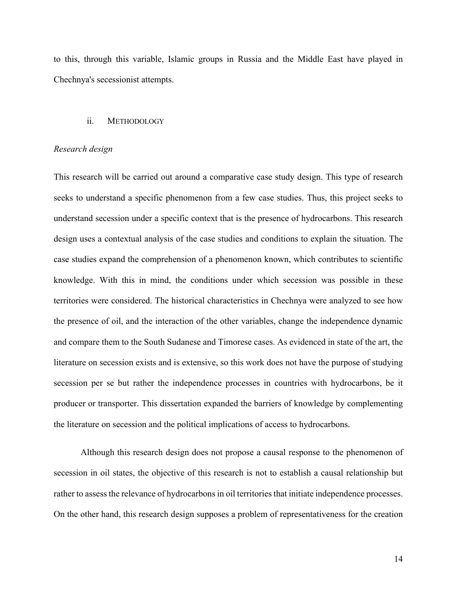to this, through this variable, Islamic groups in Russia and the Middle East have played in Chechnya's secessionist attempts.

# ii. METHODOLOGY

#### *Research design*

This research will be carried out around a comparative case study design. This type of research seeks to understand a specific phenomenon from a few case studies. Thus, this project seeks to understand secession under a specific context that is the presence of hydrocarbons. This research design uses a contextual analysis of the case studies and conditions to explain the situation. The case studies expand the comprehension of a phenomenon known, which contributes to scientific knowledge. With this in mind, the conditions under which secession was possible in these territories were considered. The historical characteristics in Chechnya were analyzed to see how the presence of oil, and the interaction of the other variables, change the independence dynamic and compare them to the South Sudanese and Timorese cases. As evidenced in state of the art, the literature on secession exists and is extensive, so this work does not have the purpose of studying secession per se but rather the independence processes in countries with hydrocarbons, be it producer or transporter. This dissertation expanded the barriers of knowledge by complementing the literature on secession and the political implications of access to hydrocarbons.

Although this research design does not propose a causal response to the phenomenon of secession in oil states, the objective of this research is not to establish a causal relationship but rather to assess the relevance of hydrocarbons in oil territories that initiate independence processes. On the other hand, this research design supposes a problem of representativeness for the creation

14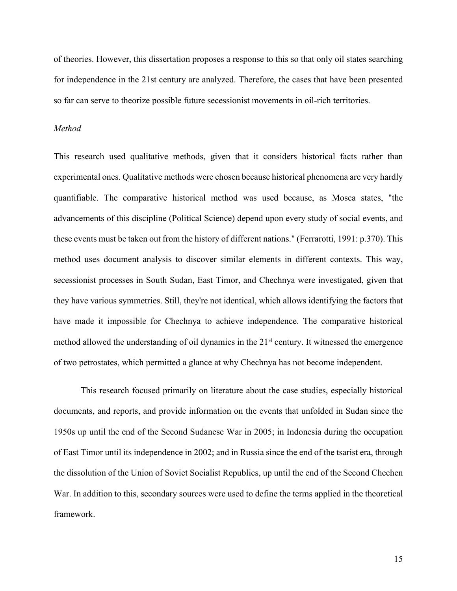of theories. However, this dissertation proposes a response to this so that only oil states searching for independence in the 21st century are analyzed. Therefore, the cases that have been presented so far can serve to theorize possible future secessionist movements in oil-rich territories.

#### *Method*

This research used qualitative methods, given that it considers historical facts rather than experimental ones. Qualitative methods were chosen because historical phenomena are very hardly quantifiable. The comparative historical method was used because, as Mosca states, "the advancements of this discipline (Political Science) depend upon every study of social events, and these events must be taken out from the history of different nations." (Ferrarotti, 1991: p.370). This method uses document analysis to discover similar elements in different contexts. This way, secessionist processes in South Sudan, East Timor, and Chechnya were investigated, given that they have various symmetries. Still, they're not identical, which allows identifying the factors that have made it impossible for Chechnya to achieve independence. The comparative historical method allowed the understanding of oil dynamics in the 21<sup>st</sup> century. It witnessed the emergence of two petrostates, which permitted a glance at why Chechnya has not become independent.

This research focused primarily on literature about the case studies, especially historical documents, and reports, and provide information on the events that unfolded in Sudan since the 1950s up until the end of the Second Sudanese War in 2005; in Indonesia during the occupation of East Timor until its independence in 2002; and in Russia since the end of the tsarist era, through the dissolution of the Union of Soviet Socialist Republics, up until the end of the Second Chechen War. In addition to this, secondary sources were used to define the terms applied in the theoretical framework.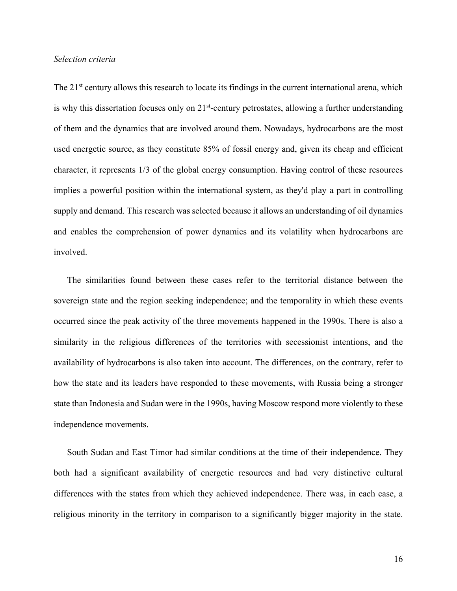### *Selection criteria*

The 21<sup>st</sup> century allows this research to locate its findings in the current international arena, which is why this dissertation focuses only on  $21<sup>st</sup>$ -century petrostates, allowing a further understanding of them and the dynamics that are involved around them. Nowadays, hydrocarbons are the most used energetic source, as they constitute 85% of fossil energy and, given its cheap and efficient character, it represents 1/3 of the global energy consumption. Having control of these resources implies a powerful position within the international system, as they'd play a part in controlling supply and demand. This research was selected because it allows an understanding of oil dynamics and enables the comprehension of power dynamics and its volatility when hydrocarbons are involved.

The similarities found between these cases refer to the territorial distance between the sovereign state and the region seeking independence; and the temporality in which these events occurred since the peak activity of the three movements happened in the 1990s. There is also a similarity in the religious differences of the territories with secessionist intentions, and the availability of hydrocarbons is also taken into account. The differences, on the contrary, refer to how the state and its leaders have responded to these movements, with Russia being a stronger state than Indonesia and Sudan were in the 1990s, having Moscow respond more violently to these independence movements.

South Sudan and East Timor had similar conditions at the time of their independence. They both had a significant availability of energetic resources and had very distinctive cultural differences with the states from which they achieved independence. There was, in each case, a religious minority in the territory in comparison to a significantly bigger majority in the state.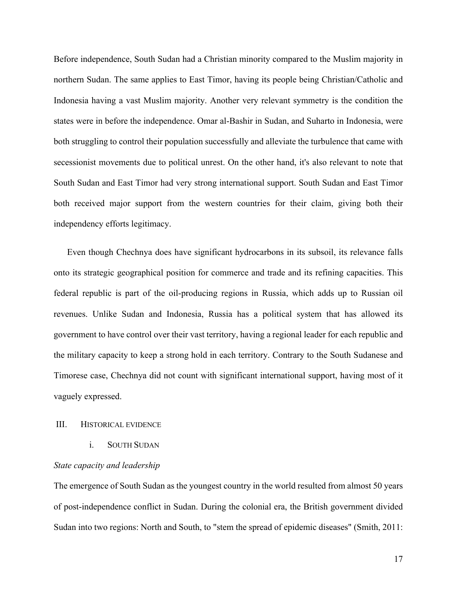Before independence, South Sudan had a Christian minority compared to the Muslim majority in northern Sudan. The same applies to East Timor, having its people being Christian/Catholic and Indonesia having a vast Muslim majority. Another very relevant symmetry is the condition the states were in before the independence. Omar al-Bashir in Sudan, and Suharto in Indonesia, were both struggling to control their population successfully and alleviate the turbulence that came with secessionist movements due to political unrest. On the other hand, it's also relevant to note that South Sudan and East Timor had very strong international support. South Sudan and East Timor both received major support from the western countries for their claim, giving both their independency efforts legitimacy.

Even though Chechnya does have significant hydrocarbons in its subsoil, its relevance falls onto its strategic geographical position for commerce and trade and its refining capacities. This federal republic is part of the oil-producing regions in Russia, which adds up to Russian oil revenues. Unlike Sudan and Indonesia, Russia has a political system that has allowed its government to have control over their vast territory, having a regional leader for each republic and the military capacity to keep a strong hold in each territory. Contrary to the South Sudanese and Timorese case, Chechnya did not count with significant international support, having most of it vaguely expressed.

# III. HISTORICAL EVIDENCE

i. SOUTH SUDAN

# *State capacity and leadership*

The emergence of South Sudan as the youngest country in the world resulted from almost 50 years of post-independence conflict in Sudan. During the colonial era, the British government divided Sudan into two regions: North and South, to "stem the spread of epidemic diseases" (Smith, 2011: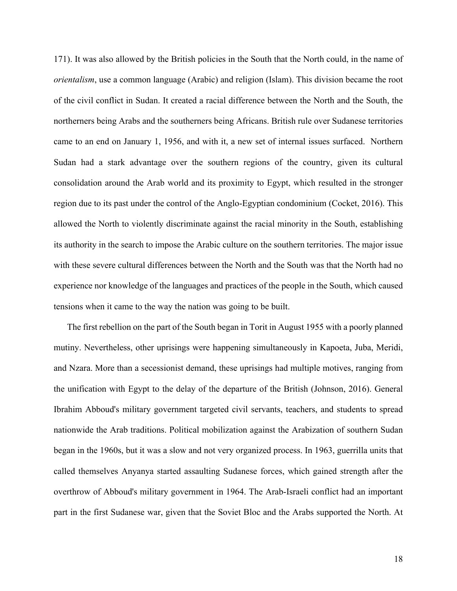171). It was also allowed by the British policies in the South that the North could, in the name of *orientalism*, use a common language (Arabic) and religion (Islam). This division became the root of the civil conflict in Sudan. It created a racial difference between the North and the South, the northerners being Arabs and the southerners being Africans. British rule over Sudanese territories came to an end on January 1, 1956, and with it, a new set of internal issues surfaced. Northern Sudan had a stark advantage over the southern regions of the country, given its cultural consolidation around the Arab world and its proximity to Egypt, which resulted in the stronger region due to its past under the control of the Anglo-Egyptian condominium (Cocket, 2016). This allowed the North to violently discriminate against the racial minority in the South, establishing its authority in the search to impose the Arabic culture on the southern territories. The major issue with these severe cultural differences between the North and the South was that the North had no experience nor knowledge of the languages and practices of the people in the South, which caused tensions when it came to the way the nation was going to be built.

The first rebellion on the part of the South began in Torit in August 1955 with a poorly planned mutiny. Nevertheless, other uprisings were happening simultaneously in Kapoeta, Juba, Meridi, and Nzara. More than a secessionist demand, these uprisings had multiple motives, ranging from the unification with Egypt to the delay of the departure of the British (Johnson, 2016). General Ibrahim Abboud's military government targeted civil servants, teachers, and students to spread nationwide the Arab traditions. Political mobilization against the Arabization of southern Sudan began in the 1960s, but it was a slow and not very organized process. In 1963, guerrilla units that called themselves Anyanya started assaulting Sudanese forces, which gained strength after the overthrow of Abboud's military government in 1964. The Arab-Israeli conflict had an important part in the first Sudanese war, given that the Soviet Bloc and the Arabs supported the North. At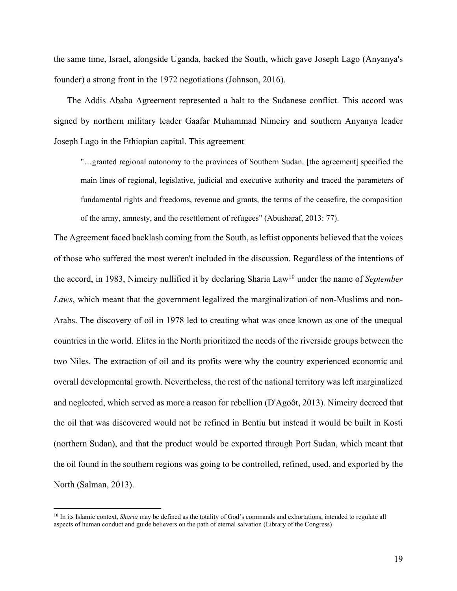the same time, Israel, alongside Uganda, backed the South, which gave Joseph Lago (Anyanya's founder) a strong front in the 1972 negotiations (Johnson, 2016).

The Addis Ababa Agreement represented a halt to the Sudanese conflict. This accord was signed by northern military leader Gaafar Muhammad Nimeiry and southern Anyanya leader Joseph Lago in the Ethiopian capital. This agreement

"…granted regional autonomy to the provinces of Southern Sudan. [the agreement] specified the main lines of regional, legislative, judicial and executive authority and traced the parameters of fundamental rights and freedoms, revenue and grants, the terms of the ceasefire, the composition of the army, amnesty, and the resettlement of refugees" (Abusharaf, 2013: 77).

The Agreement faced backlash coming from the South, as leftist opponents believed that the voices of those who suffered the most weren't included in the discussion. Regardless of the intentions of the accord, in 1983, Nimeiry nullified it by declaring Sharia Law10 under the name of *September Laws*, which meant that the government legalized the marginalization of non-Muslims and non-Arabs. The discovery of oil in 1978 led to creating what was once known as one of the unequal countries in the world. Elites in the North prioritized the needs of the riverside groups between the two Niles. The extraction of oil and its profits were why the country experienced economic and overall developmental growth. Nevertheless, the rest of the national territory was left marginalized and neglected, which served as more a reason for rebellion (D'Agoôt, 2013). Nimeiry decreed that the oil that was discovered would not be refined in Bentiu but instead it would be built in Kosti (northern Sudan), and that the product would be exported through Port Sudan, which meant that the oil found in the southern regions was going to be controlled, refined, used, and exported by the North (Salman, 2013).

<sup>&</sup>lt;sup>10</sup> In its Islamic context, *Sharia* may be defined as the totality of God's commands and exhortations, intended to regulate all aspects of human conduct and guide believers on the path of eternal salvation (Library of the Congress)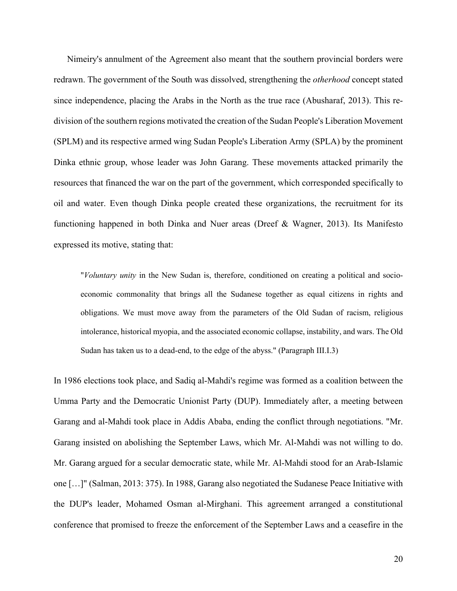Nimeiry's annulment of the Agreement also meant that the southern provincial borders were redrawn. The government of the South was dissolved, strengthening the *otherhood* concept stated since independence, placing the Arabs in the North as the true race (Abusharaf, 2013). This redivision of the southern regions motivated the creation of the Sudan People's Liberation Movement (SPLM) and its respective armed wing Sudan People's Liberation Army (SPLA) by the prominent Dinka ethnic group, whose leader was John Garang. These movements attacked primarily the resources that financed the war on the part of the government, which corresponded specifically to oil and water. Even though Dinka people created these organizations, the recruitment for its functioning happened in both Dinka and Nuer areas (Dreef & Wagner, 2013). Its Manifesto expressed its motive, stating that:

"*Voluntary unity* in the New Sudan is, therefore, conditioned on creating a political and socioeconomic commonality that brings all the Sudanese together as equal citizens in rights and obligations. We must move away from the parameters of the Old Sudan of racism, religious intolerance, historical myopia, and the associated economic collapse, instability, and wars. The Old Sudan has taken us to a dead-end, to the edge of the abyss." (Paragraph III.I.3)

In 1986 elections took place, and Sadiq al-Mahdi's regime was formed as a coalition between the Umma Party and the Democratic Unionist Party (DUP). Immediately after, a meeting between Garang and al-Mahdi took place in Addis Ababa, ending the conflict through negotiations. "Mr. Garang insisted on abolishing the September Laws, which Mr. Al-Mahdi was not willing to do. Mr. Garang argued for a secular democratic state, while Mr. Al-Mahdi stood for an Arab-Islamic one […]" (Salman, 2013: 375). In 1988, Garang also negotiated the Sudanese Peace Initiative with the DUP's leader, Mohamed Osman al-Mirghani. This agreement arranged a constitutional conference that promised to freeze the enforcement of the September Laws and a ceasefire in the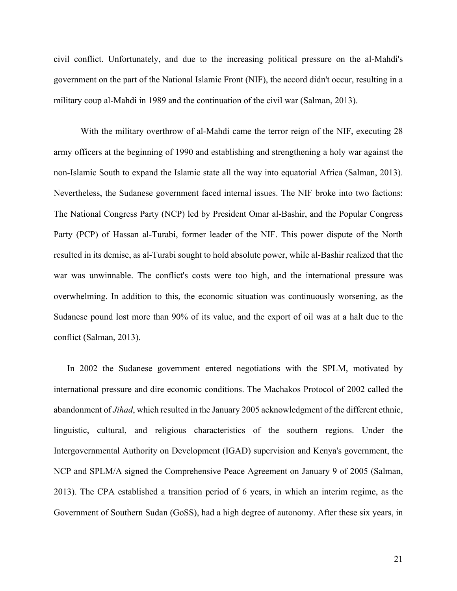civil conflict. Unfortunately, and due to the increasing political pressure on the al-Mahdi's government on the part of the National Islamic Front (NIF), the accord didn't occur, resulting in a military coup al-Mahdi in 1989 and the continuation of the civil war (Salman, 2013).

With the military overthrow of al-Mahdi came the terror reign of the NIF, executing 28 army officers at the beginning of 1990 and establishing and strengthening a holy war against the non-Islamic South to expand the Islamic state all the way into equatorial Africa (Salman, 2013). Nevertheless, the Sudanese government faced internal issues. The NIF broke into two factions: The National Congress Party (NCP) led by President Omar al-Bashir, and the Popular Congress Party (PCP) of Hassan al-Turabi, former leader of the NIF. This power dispute of the North resulted in its demise, as al-Turabi sought to hold absolute power, while al-Bashir realized that the war was unwinnable. The conflict's costs were too high, and the international pressure was overwhelming. In addition to this, the economic situation was continuously worsening, as the Sudanese pound lost more than 90% of its value, and the export of oil was at a halt due to the conflict (Salman, 2013).

In 2002 the Sudanese government entered negotiations with the SPLM, motivated by international pressure and dire economic conditions. The Machakos Protocol of 2002 called the abandonment of *Jihad*, which resulted in the January 2005 acknowledgment of the different ethnic, linguistic, cultural, and religious characteristics of the southern regions. Under the Intergovernmental Authority on Development (IGAD) supervision and Kenya's government, the NCP and SPLM/A signed the Comprehensive Peace Agreement on January 9 of 2005 (Salman, 2013). The CPA established a transition period of 6 years, in which an interim regime, as the Government of Southern Sudan (GoSS), had a high degree of autonomy. After these six years, in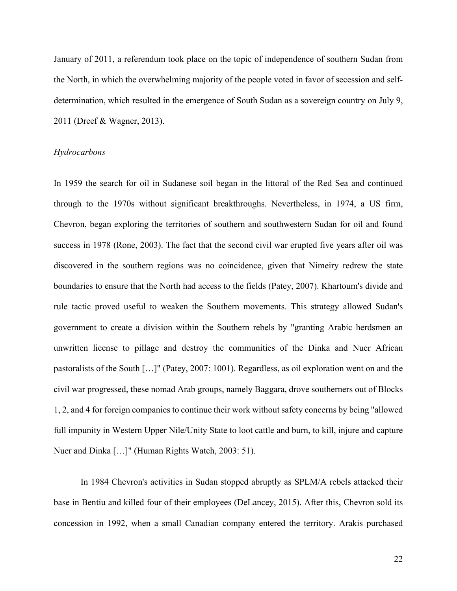January of 2011, a referendum took place on the topic of independence of southern Sudan from the North, in which the overwhelming majority of the people voted in favor of secession and selfdetermination, which resulted in the emergence of South Sudan as a sovereign country on July 9, 2011 (Dreef & Wagner, 2013).

## *Hydrocarbons*

In 1959 the search for oil in Sudanese soil began in the littoral of the Red Sea and continued through to the 1970s without significant breakthroughs. Nevertheless, in 1974, a US firm, Chevron, began exploring the territories of southern and southwestern Sudan for oil and found success in 1978 (Rone, 2003). The fact that the second civil war erupted five years after oil was discovered in the southern regions was no coincidence, given that Nimeiry redrew the state boundaries to ensure that the North had access to the fields (Patey, 2007). Khartoum's divide and rule tactic proved useful to weaken the Southern movements. This strategy allowed Sudan's government to create a division within the Southern rebels by "granting Arabic herdsmen an unwritten license to pillage and destroy the communities of the Dinka and Nuer African pastoralists of the South […]" (Patey, 2007: 1001). Regardless, as oil exploration went on and the civil war progressed, these nomad Arab groups, namely Baggara, drove southerners out of Blocks 1, 2, and 4 for foreign companies to continue their work without safety concerns by being "allowed full impunity in Western Upper Nile/Unity State to loot cattle and burn, to kill, injure and capture Nuer and Dinka […]" (Human Rights Watch, 2003: 51).

In 1984 Chevron's activities in Sudan stopped abruptly as SPLM/A rebels attacked their base in Bentiu and killed four of their employees (DeLancey, 2015). After this, Chevron sold its concession in 1992, when a small Canadian company entered the territory. Arakis purchased

22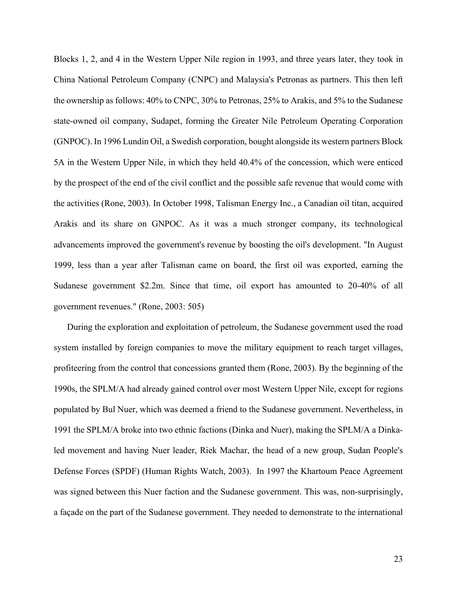Blocks 1, 2, and 4 in the Western Upper Nile region in 1993, and three years later, they took in China National Petroleum Company (CNPC) and Malaysia's Petronas as partners. This then left the ownership as follows: 40% to CNPC, 30% to Petronas, 25% to Arakis, and 5% to the Sudanese state-owned oil company, Sudapet, forming the Greater Nile Petroleum Operating Corporation (GNPOC). In 1996 Lundin Oil, a Swedish corporation, bought alongside its western partners Block 5A in the Western Upper Nile, in which they held 40.4% of the concession, which were enticed by the prospect of the end of the civil conflict and the possible safe revenue that would come with the activities (Rone, 2003). In October 1998, Talisman Energy Inc., a Canadian oil titan, acquired Arakis and its share on GNPOC. As it was a much stronger company, its technological advancements improved the government's revenue by boosting the oil's development. "In August 1999, less than a year after Talisman came on board, the first oil was exported, earning the Sudanese government \$2.2m. Since that time, oil export has amounted to 20-40% of all government revenues." (Rone, 2003: 505)

During the exploration and exploitation of petroleum, the Sudanese government used the road system installed by foreign companies to move the military equipment to reach target villages, profiteering from the control that concessions granted them (Rone, 2003). By the beginning of the 1990s, the SPLM/A had already gained control over most Western Upper Nile, except for regions populated by Bul Nuer, which was deemed a friend to the Sudanese government. Nevertheless, in 1991 the SPLM/A broke into two ethnic factions (Dinka and Nuer), making the SPLM/A a Dinkaled movement and having Nuer leader, Riek Machar, the head of a new group, Sudan People's Defense Forces (SPDF) (Human Rights Watch, 2003). In 1997 the Khartoum Peace Agreement was signed between this Nuer faction and the Sudanese government. This was, non-surprisingly, a façade on the part of the Sudanese government. They needed to demonstrate to the international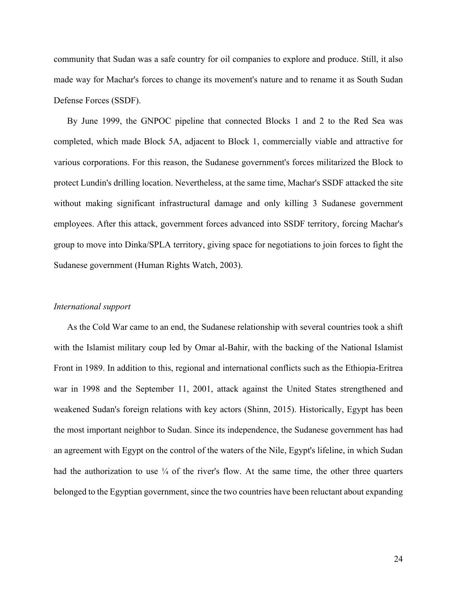community that Sudan was a safe country for oil companies to explore and produce. Still, it also made way for Machar's forces to change its movement's nature and to rename it as South Sudan Defense Forces (SSDF).

By June 1999, the GNPOC pipeline that connected Blocks 1 and 2 to the Red Sea was completed, which made Block 5A, adjacent to Block 1, commercially viable and attractive for various corporations. For this reason, the Sudanese government's forces militarized the Block to protect Lundin's drilling location. Nevertheless, at the same time, Machar's SSDF attacked the site without making significant infrastructural damage and only killing 3 Sudanese government employees. After this attack, government forces advanced into SSDF territory, forcing Machar's group to move into Dinka/SPLA territory, giving space for negotiations to join forces to fight the Sudanese government (Human Rights Watch, 2003).

#### *International support*

As the Cold War came to an end, the Sudanese relationship with several countries took a shift with the Islamist military coup led by Omar al-Bahir, with the backing of the National Islamist Front in 1989. In addition to this, regional and international conflicts such as the Ethiopia-Eritrea war in 1998 and the September 11, 2001, attack against the United States strengthened and weakened Sudan's foreign relations with key actors (Shinn, 2015). Historically, Egypt has been the most important neighbor to Sudan. Since its independence, the Sudanese government has had an agreement with Egypt on the control of the waters of the Nile, Egypt's lifeline, in which Sudan had the authorization to use  $\frac{1}{4}$  of the river's flow. At the same time, the other three quarters belonged to the Egyptian government, since the two countries have been reluctant about expanding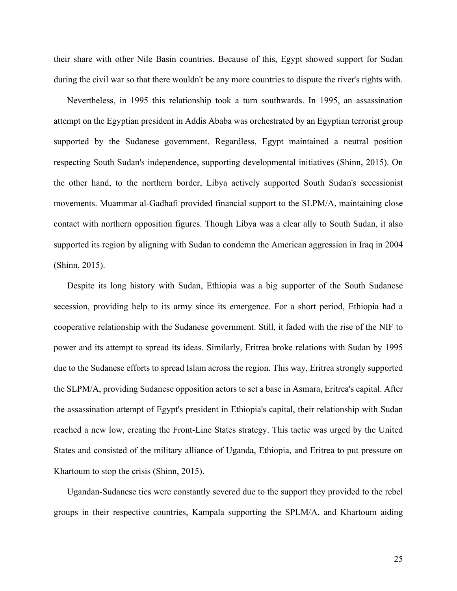their share with other Nile Basin countries. Because of this, Egypt showed support for Sudan during the civil war so that there wouldn't be any more countries to dispute the river's rights with.

Nevertheless, in 1995 this relationship took a turn southwards. In 1995, an assassination attempt on the Egyptian president in Addis Ababa was orchestrated by an Egyptian terrorist group supported by the Sudanese government. Regardless, Egypt maintained a neutral position respecting South Sudan's independence, supporting developmental initiatives (Shinn, 2015). On the other hand, to the northern border, Libya actively supported South Sudan's secessionist movements. Muammar al-Gadhafi provided financial support to the SLPM/A, maintaining close contact with northern opposition figures. Though Libya was a clear ally to South Sudan, it also supported its region by aligning with Sudan to condemn the American aggression in Iraq in 2004 (Shinn, 2015).

Despite its long history with Sudan, Ethiopia was a big supporter of the South Sudanese secession, providing help to its army since its emergence. For a short period, Ethiopia had a cooperative relationship with the Sudanese government. Still, it faded with the rise of the NIF to power and its attempt to spread its ideas. Similarly, Eritrea broke relations with Sudan by 1995 due to the Sudanese efforts to spread Islam across the region. This way, Eritrea strongly supported the SLPM/A, providing Sudanese opposition actors to set a base in Asmara, Eritrea's capital. After the assassination attempt of Egypt's president in Ethiopia's capital, their relationship with Sudan reached a new low, creating the Front-Line States strategy. This tactic was urged by the United States and consisted of the military alliance of Uganda, Ethiopia, and Eritrea to put pressure on Khartoum to stop the crisis (Shinn, 2015).

Ugandan-Sudanese ties were constantly severed due to the support they provided to the rebel groups in their respective countries, Kampala supporting the SPLM/A, and Khartoum aiding

25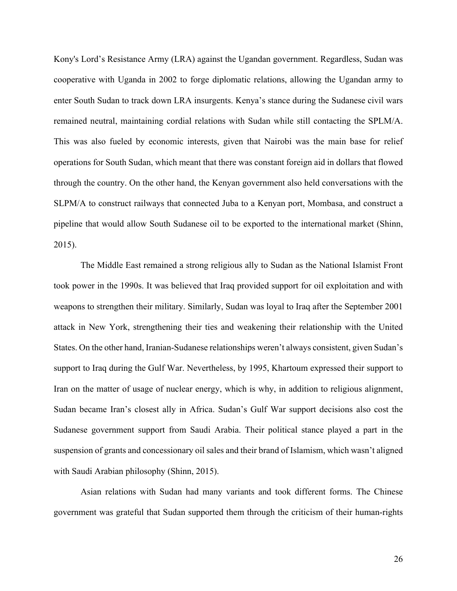Kony's Lord's Resistance Army (LRA) against the Ugandan government. Regardless, Sudan was cooperative with Uganda in 2002 to forge diplomatic relations, allowing the Ugandan army to enter South Sudan to track down LRA insurgents. Kenya's stance during the Sudanese civil wars remained neutral, maintaining cordial relations with Sudan while still contacting the SPLM/A. This was also fueled by economic interests, given that Nairobi was the main base for relief operations for South Sudan, which meant that there was constant foreign aid in dollars that flowed through the country. On the other hand, the Kenyan government also held conversations with the SLPM/A to construct railways that connected Juba to a Kenyan port, Mombasa, and construct a pipeline that would allow South Sudanese oil to be exported to the international market (Shinn, 2015).

The Middle East remained a strong religious ally to Sudan as the National Islamist Front took power in the 1990s. It was believed that Iraq provided support for oil exploitation and with weapons to strengthen their military. Similarly, Sudan was loyal to Iraq after the September 2001 attack in New York, strengthening their ties and weakening their relationship with the United States. On the other hand, Iranian-Sudanese relationships weren't always consistent, given Sudan's support to Iraq during the Gulf War. Nevertheless, by 1995, Khartoum expressed their support to Iran on the matter of usage of nuclear energy, which is why, in addition to religious alignment, Sudan became Iran's closest ally in Africa. Sudan's Gulf War support decisions also cost the Sudanese government support from Saudi Arabia. Their political stance played a part in the suspension of grants and concessionary oil sales and their brand of Islamism, which wasn't aligned with Saudi Arabian philosophy (Shinn, 2015).

Asian relations with Sudan had many variants and took different forms. The Chinese government was grateful that Sudan supported them through the criticism of their human-rights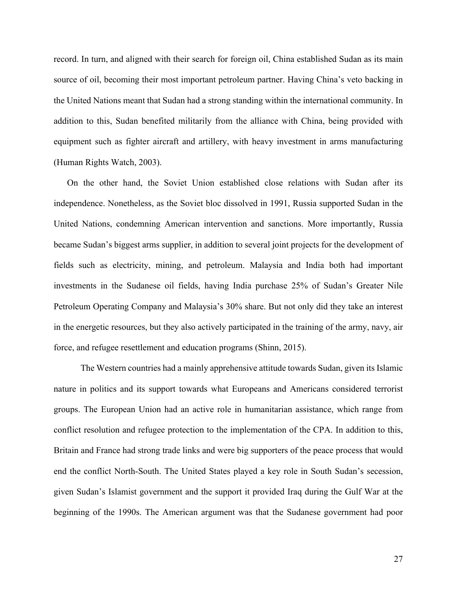record. In turn, and aligned with their search for foreign oil, China established Sudan as its main source of oil, becoming their most important petroleum partner. Having China's veto backing in the United Nations meant that Sudan had a strong standing within the international community. In addition to this, Sudan benefited militarily from the alliance with China, being provided with equipment such as fighter aircraft and artillery, with heavy investment in arms manufacturing (Human Rights Watch, 2003).

On the other hand, the Soviet Union established close relations with Sudan after its independence. Nonetheless, as the Soviet bloc dissolved in 1991, Russia supported Sudan in the United Nations, condemning American intervention and sanctions. More importantly, Russia became Sudan's biggest arms supplier, in addition to several joint projects for the development of fields such as electricity, mining, and petroleum. Malaysia and India both had important investments in the Sudanese oil fields, having India purchase 25% of Sudan's Greater Nile Petroleum Operating Company and Malaysia's 30% share. But not only did they take an interest in the energetic resources, but they also actively participated in the training of the army, navy, air force, and refugee resettlement and education programs (Shinn, 2015).

The Western countries had a mainly apprehensive attitude towards Sudan, given its Islamic nature in politics and its support towards what Europeans and Americans considered terrorist groups. The European Union had an active role in humanitarian assistance, which range from conflict resolution and refugee protection to the implementation of the CPA. In addition to this, Britain and France had strong trade links and were big supporters of the peace process that would end the conflict North-South. The United States played a key role in South Sudan's secession, given Sudan's Islamist government and the support it provided Iraq during the Gulf War at the beginning of the 1990s. The American argument was that the Sudanese government had poor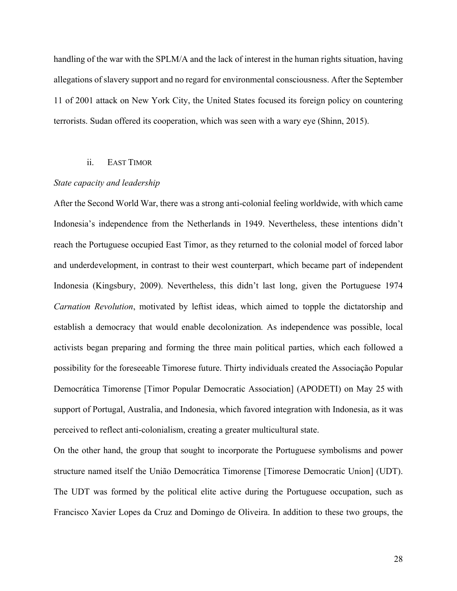handling of the war with the SPLM/A and the lack of interest in the human rights situation, having allegations of slavery support and no regard for environmental consciousness. After the September 11 of 2001 attack on New York City, the United States focused its foreign policy on countering terrorists. Sudan offered its cooperation, which was seen with a wary eye (Shinn, 2015).

## ii. EAST TIMOR

#### *State capacity and leadership*

After the Second World War, there was a strong anti-colonial feeling worldwide, with which came Indonesia's independence from the Netherlands in 1949. Nevertheless, these intentions didn't reach the Portuguese occupied East Timor, as they returned to the colonial model of forced labor and underdevelopment, in contrast to their west counterpart, which became part of independent Indonesia (Kingsbury, 2009). Nevertheless, this didn't last long, given the Portuguese 1974 *Carnation Revolution*, motivated by leftist ideas, which aimed to topple the dictatorship and establish a democracy that would enable decolonization*.* As independence was possible, local activists began preparing and forming the three main political parties, which each followed a possibility for the foreseeable Timorese future. Thirty individuals created the Associação Popular Democrática Timorense [Timor Popular Democratic Association] (APODETI) on May 25 with support of Portugal, Australia, and Indonesia, which favored integration with Indonesia, as it was perceived to reflect anti-colonialism, creating a greater multicultural state.

On the other hand, the group that sought to incorporate the Portuguese symbolisms and power structure named itself the União Democrática Timorense [Timorese Democratic Union] (UDT). The UDT was formed by the political elite active during the Portuguese occupation, such as Francisco Xavier Lopes da Cruz and Domingo de Oliveira. In addition to these two groups, the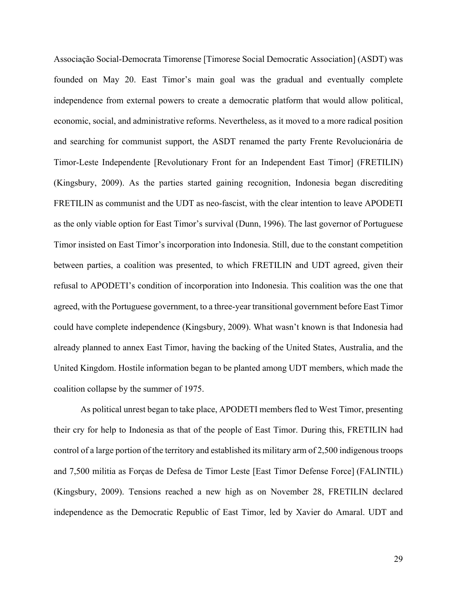Associação Social-Democrata Timorense [Timorese Social Democratic Association] (ASDT) was founded on May 20. East Timor's main goal was the gradual and eventually complete independence from external powers to create a democratic platform that would allow political, economic, social, and administrative reforms. Nevertheless, as it moved to a more radical position and searching for communist support, the ASDT renamed the party Frente Revolucionária de Timor-Leste Independente [Revolutionary Front for an Independent East Timor] (FRETILIN) (Kingsbury, 2009). As the parties started gaining recognition, Indonesia began discrediting FRETILIN as communist and the UDT as neo-fascist, with the clear intention to leave APODETI as the only viable option for East Timor's survival (Dunn, 1996). The last governor of Portuguese Timor insisted on East Timor's incorporation into Indonesia. Still, due to the constant competition between parties, a coalition was presented, to which FRETILIN and UDT agreed, given their refusal to APODETI's condition of incorporation into Indonesia. This coalition was the one that agreed, with the Portuguese government, to a three-year transitional government before East Timor could have complete independence (Kingsbury, 2009). What wasn't known is that Indonesia had already planned to annex East Timor, having the backing of the United States, Australia, and the United Kingdom. Hostile information began to be planted among UDT members, which made the coalition collapse by the summer of 1975.

As political unrest began to take place, APODETI members fled to West Timor, presenting their cry for help to Indonesia as that of the people of East Timor. During this, FRETILIN had control of a large portion of the territory and established its military arm of 2,500 indigenous troops and 7,500 militia as Forças de Defesa de Timor Leste [East Timor Defense Force] (FALINTIL) (Kingsbury, 2009). Tensions reached a new high as on November 28, FRETILIN declared independence as the Democratic Republic of East Timor, led by Xavier do Amaral. UDT and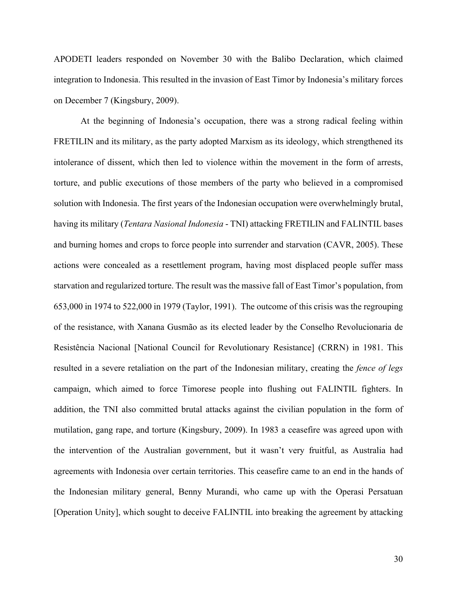APODETI leaders responded on November 30 with the Balibo Declaration, which claimed integration to Indonesia. This resulted in the invasion of East Timor by Indonesia's military forces on December 7 (Kingsbury, 2009).

At the beginning of Indonesia's occupation, there was a strong radical feeling within FRETILIN and its military, as the party adopted Marxism as its ideology, which strengthened its intolerance of dissent, which then led to violence within the movement in the form of arrests, torture, and public executions of those members of the party who believed in a compromised solution with Indonesia. The first years of the Indonesian occupation were overwhelmingly brutal, having its military (*Tentara Nasional Indonesia* - TNI) attacking FRETILIN and FALINTIL bases and burning homes and crops to force people into surrender and starvation (CAVR, 2005). These actions were concealed as a resettlement program, having most displaced people suffer mass starvation and regularized torture. The result was the massive fall of East Timor's population, from 653,000 in 1974 to 522,000 in 1979 (Taylor, 1991). The outcome of this crisis was the regrouping of the resistance, with Xanana Gusmão as its elected leader by the Conselho Revolucionaria de Resistência Nacional [National Council for Revolutionary Resistance] (CRRN) in 1981. This resulted in a severe retaliation on the part of the Indonesian military, creating the *fence of legs* campaign, which aimed to force Timorese people into flushing out FALINTIL fighters. In addition, the TNI also committed brutal attacks against the civilian population in the form of mutilation, gang rape, and torture (Kingsbury, 2009). In 1983 a ceasefire was agreed upon with the intervention of the Australian government, but it wasn't very fruitful, as Australia had agreements with Indonesia over certain territories. This ceasefire came to an end in the hands of the Indonesian military general, Benny Murandi, who came up with the Operasi Persatuan [Operation Unity], which sought to deceive FALINTIL into breaking the agreement by attacking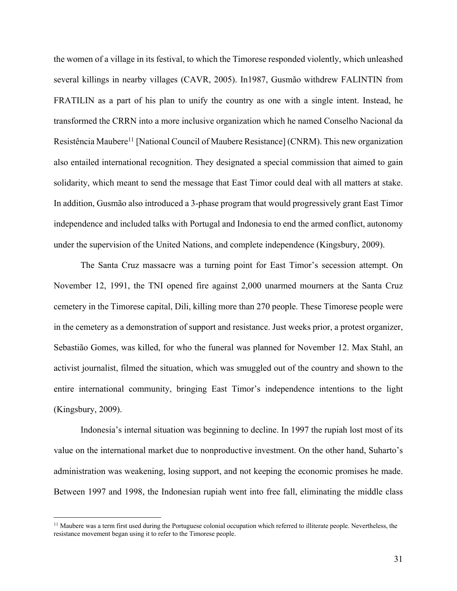the women of a village in its festival, to which the Timorese responded violently, which unleashed several killings in nearby villages (CAVR, 2005). In1987, Gusmão withdrew FALINTIN from FRATILIN as a part of his plan to unify the country as one with a single intent. Instead, he transformed the CRRN into a more inclusive organization which he named Conselho Nacional da Resistência Maubere<sup>11</sup> [National Council of Maubere Resistance] (CNRM). This new organization also entailed international recognition. They designated a special commission that aimed to gain solidarity, which meant to send the message that East Timor could deal with all matters at stake. In addition, Gusmão also introduced a 3-phase program that would progressively grant East Timor independence and included talks with Portugal and Indonesia to end the armed conflict, autonomy under the supervision of the United Nations, and complete independence (Kingsbury, 2009).

The Santa Cruz massacre was a turning point for East Timor's secession attempt. On November 12, 1991, the TNI opened fire against 2,000 unarmed mourners at the Santa Cruz cemetery in the Timorese capital, Dili, killing more than 270 people. These Timorese people were in the cemetery as a demonstration of support and resistance. Just weeks prior, a protest organizer, Sebastião Gomes, was killed, for who the funeral was planned for November 12. Max Stahl, an activist journalist, filmed the situation, which was smuggled out of the country and shown to the entire international community, bringing East Timor's independence intentions to the light (Kingsbury, 2009).

Indonesia's internal situation was beginning to decline. In 1997 the rupiah lost most of its value on the international market due to nonproductive investment. On the other hand, Suharto's administration was weakening, losing support, and not keeping the economic promises he made. Between 1997 and 1998, the Indonesian rupiah went into free fall, eliminating the middle class

<sup>&</sup>lt;sup>11</sup> Maubere was a term first used during the Portuguese colonial occupation which referred to illiterate people. Nevertheless, the resistance movement began using it to refer to the Timorese people.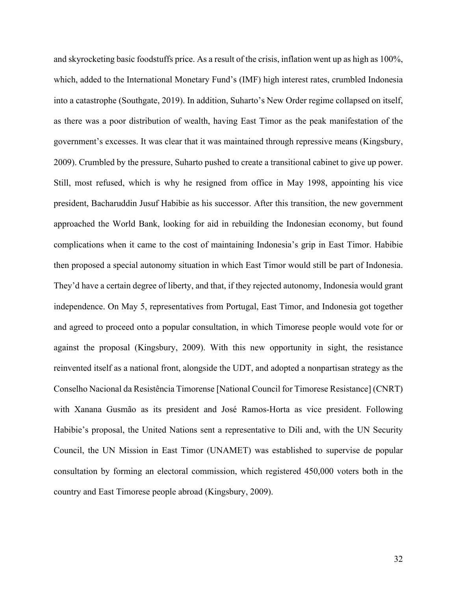and skyrocketing basic foodstuffs price. As a result of the crisis, inflation went up as high as 100%, which, added to the International Monetary Fund's (IMF) high interest rates, crumbled Indonesia into a catastrophe (Southgate, 2019). In addition, Suharto's New Order regime collapsed on itself, as there was a poor distribution of wealth, having East Timor as the peak manifestation of the government's excesses. It was clear that it was maintained through repressive means (Kingsbury, 2009). Crumbled by the pressure, Suharto pushed to create a transitional cabinet to give up power. Still, most refused, which is why he resigned from office in May 1998, appointing his vice president, Bacharuddin Jusuf Habibie as his successor. After this transition, the new government approached the World Bank, looking for aid in rebuilding the Indonesian economy, but found complications when it came to the cost of maintaining Indonesia's grip in East Timor. Habibie then proposed a special autonomy situation in which East Timor would still be part of Indonesia. They'd have a certain degree of liberty, and that, if they rejected autonomy, Indonesia would grant independence. On May 5, representatives from Portugal, East Timor, and Indonesia got together and agreed to proceed onto a popular consultation, in which Timorese people would vote for or against the proposal (Kingsbury, 2009). With this new opportunity in sight, the resistance reinvented itself as a national front, alongside the UDT, and adopted a nonpartisan strategy as the Conselho Nacional da Resistência Timorense [National Council for Timorese Resistance] (CNRT) with Xanana Gusmão as its president and José Ramos-Horta as vice president. Following Habibie's proposal, the United Nations sent a representative to Dili and, with the UN Security Council, the UN Mission in East Timor (UNAMET) was established to supervise de popular consultation by forming an electoral commission, which registered 450,000 voters both in the country and East Timorese people abroad (Kingsbury, 2009).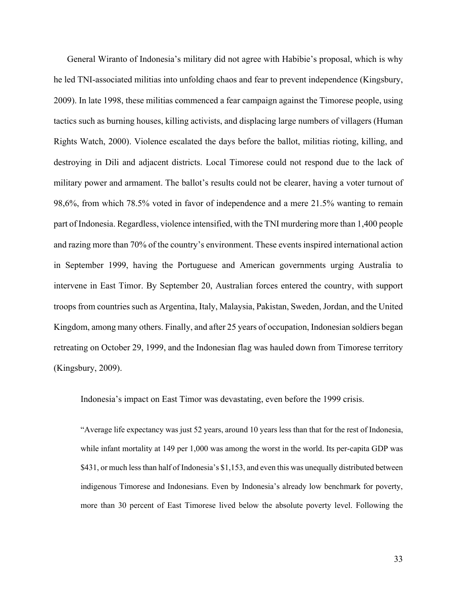General Wiranto of Indonesia's military did not agree with Habibie's proposal, which is why he led TNI-associated militias into unfolding chaos and fear to prevent independence (Kingsbury, 2009). In late 1998, these militias commenced a fear campaign against the Timorese people, using tactics such as burning houses, killing activists, and displacing large numbers of villagers (Human Rights Watch, 2000). Violence escalated the days before the ballot, militias rioting, killing, and destroying in Dili and adjacent districts. Local Timorese could not respond due to the lack of military power and armament. The ballot's results could not be clearer, having a voter turnout of 98,6%, from which 78.5% voted in favor of independence and a mere 21.5% wanting to remain part of Indonesia. Regardless, violence intensified, with the TNI murdering more than 1,400 people and razing more than 70% of the country's environment. These events inspired international action in September 1999, having the Portuguese and American governments urging Australia to intervene in East Timor. By September 20, Australian forces entered the country, with support troops from countries such as Argentina, Italy, Malaysia, Pakistan, Sweden, Jordan, and the United Kingdom, among many others. Finally, and after 25 years of occupation, Indonesian soldiers began retreating on October 29, 1999, and the Indonesian flag was hauled down from Timorese territory (Kingsbury, 2009).

Indonesia's impact on East Timor was devastating, even before the 1999 crisis.

"Average life expectancy was just 52 years, around 10 years less than that for the rest of Indonesia, while infant mortality at 149 per 1,000 was among the worst in the world. Its per-capita GDP was \$431, or much less than half of Indonesia's \$1,153, and even this was unequally distributed between indigenous Timorese and Indonesians. Even by Indonesia's already low benchmark for poverty, more than 30 percent of East Timorese lived below the absolute poverty level. Following the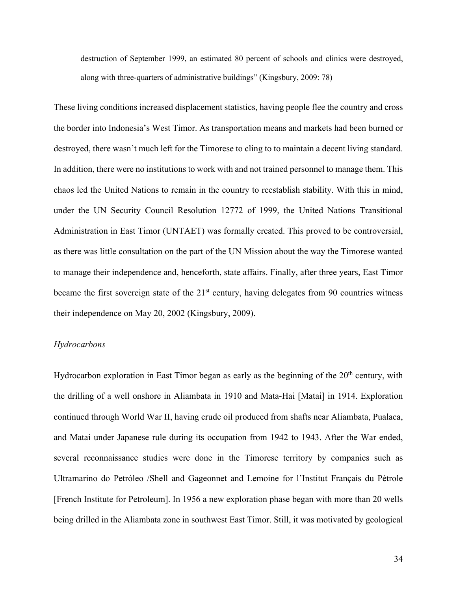destruction of September 1999, an estimated 80 percent of schools and clinics were destroyed, along with three-quarters of administrative buildings" (Kingsbury, 2009: 78)

These living conditions increased displacement statistics, having people flee the country and cross the border into Indonesia's West Timor. As transportation means and markets had been burned or destroyed, there wasn't much left for the Timorese to cling to to maintain a decent living standard. In addition, there were no institutions to work with and not trained personnel to manage them. This chaos led the United Nations to remain in the country to reestablish stability. With this in mind, under the UN Security Council Resolution 12772 of 1999, the United Nations Transitional Administration in East Timor (UNTAET) was formally created. This proved to be controversial, as there was little consultation on the part of the UN Mission about the way the Timorese wanted to manage their independence and, henceforth, state affairs. Finally, after three years, East Timor became the first sovereign state of the  $21<sup>st</sup>$  century, having delegates from 90 countries witness their independence on May 20, 2002 (Kingsbury, 2009).

### *Hydrocarbons*

Hydrocarbon exploration in East Timor began as early as the beginning of the  $20<sup>th</sup>$  century, with the drilling of a well onshore in Aliambata in 1910 and Mata-Hai [Matai] in 1914. Exploration continued through World War II, having crude oil produced from shafts near Aliambata, Pualaca, and Matai under Japanese rule during its occupation from 1942 to 1943. After the War ended, several reconnaissance studies were done in the Timorese territory by companies such as Ultramarino do Petróleo /Shell and Gageonnet and Lemoine for l'Institut Français du Pétrole [French Institute for Petroleum]. In 1956 a new exploration phase began with more than 20 wells being drilled in the Aliambata zone in southwest East Timor. Still, it was motivated by geological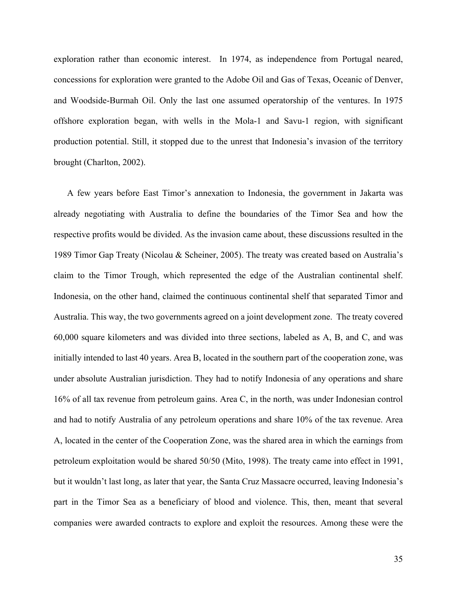exploration rather than economic interest. In 1974, as independence from Portugal neared, concessions for exploration were granted to the Adobe Oil and Gas of Texas, Oceanic of Denver, and Woodside-Burmah Oil. Only the last one assumed operatorship of the ventures. In 1975 offshore exploration began, with wells in the Mola-1 and Savu-1 region, with significant production potential. Still, it stopped due to the unrest that Indonesia's invasion of the territory brought (Charlton, 2002).

A few years before East Timor's annexation to Indonesia, the government in Jakarta was already negotiating with Australia to define the boundaries of the Timor Sea and how the respective profits would be divided. As the invasion came about, these discussions resulted in the 1989 Timor Gap Treaty (Nicolau & Scheiner, 2005). The treaty was created based on Australia's claim to the Timor Trough, which represented the edge of the Australian continental shelf. Indonesia, on the other hand, claimed the continuous continental shelf that separated Timor and Australia. This way, the two governments agreed on a joint development zone. The treaty covered 60,000 square kilometers and was divided into three sections, labeled as A, B, and C, and was initially intended to last 40 years. Area B, located in the southern part of the cooperation zone, was under absolute Australian jurisdiction. They had to notify Indonesia of any operations and share 16% of all tax revenue from petroleum gains. Area C, in the north, was under Indonesian control and had to notify Australia of any petroleum operations and share 10% of the tax revenue. Area A, located in the center of the Cooperation Zone, was the shared area in which the earnings from petroleum exploitation would be shared 50/50 (Mito, 1998). The treaty came into effect in 1991, but it wouldn't last long, as later that year, the Santa Cruz Massacre occurred, leaving Indonesia's part in the Timor Sea as a beneficiary of blood and violence. This, then, meant that several companies were awarded contracts to explore and exploit the resources. Among these were the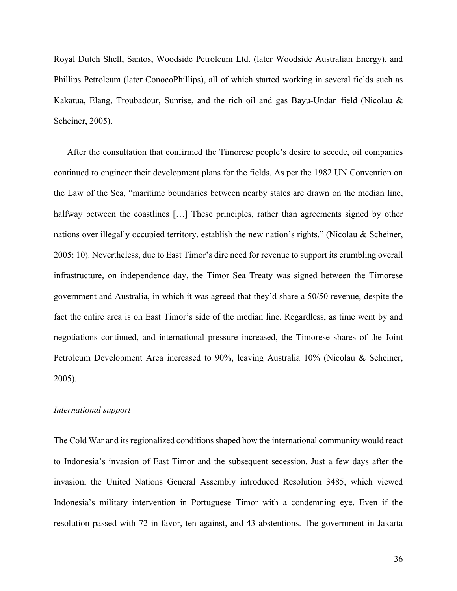Royal Dutch Shell, Santos, Woodside Petroleum Ltd. (later Woodside Australian Energy), and Phillips Petroleum (later ConocoPhillips), all of which started working in several fields such as Kakatua, Elang, Troubadour, Sunrise, and the rich oil and gas Bayu-Undan field (Nicolau & Scheiner, 2005).

After the consultation that confirmed the Timorese people's desire to secede, oil companies continued to engineer their development plans for the fields. As per the 1982 UN Convention on the Law of the Sea, "maritime boundaries between nearby states are drawn on the median line, halfway between the coastlines [...] These principles, rather than agreements signed by other nations over illegally occupied territory, establish the new nation's rights." (Nicolau & Scheiner, 2005: 10). Nevertheless, due to East Timor's dire need for revenue to support its crumbling overall infrastructure, on independence day, the Timor Sea Treaty was signed between the Timorese government and Australia, in which it was agreed that they'd share a 50/50 revenue, despite the fact the entire area is on East Timor's side of the median line. Regardless, as time went by and negotiations continued, and international pressure increased, the Timorese shares of the Joint Petroleum Development Area increased to 90%, leaving Australia 10% (Nicolau & Scheiner, 2005).

#### *International support*

The Cold War and its regionalized conditions shaped how the international community would react to Indonesia's invasion of East Timor and the subsequent secession. Just a few days after the invasion, the United Nations General Assembly introduced Resolution 3485, which viewed Indonesia's military intervention in Portuguese Timor with a condemning eye. Even if the resolution passed with 72 in favor, ten against, and 43 abstentions. The government in Jakarta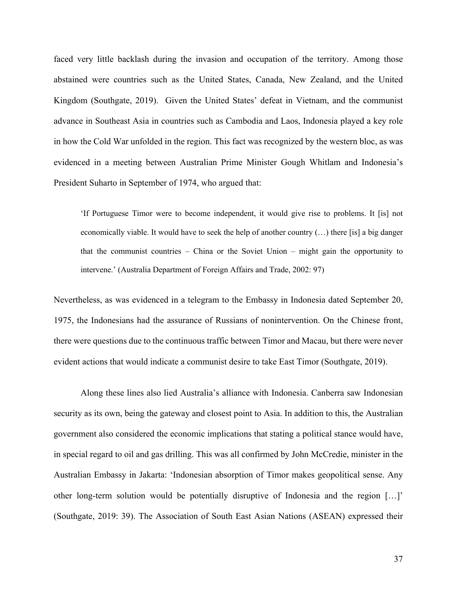faced very little backlash during the invasion and occupation of the territory. Among those abstained were countries such as the United States, Canada, New Zealand, and the United Kingdom (Southgate, 2019). Given the United States' defeat in Vietnam, and the communist advance in Southeast Asia in countries such as Cambodia and Laos, Indonesia played a key role in how the Cold War unfolded in the region. This fact was recognized by the western bloc, as was evidenced in a meeting between Australian Prime Minister Gough Whitlam and Indonesia's President Suharto in September of 1974, who argued that:

'If Portuguese Timor were to become independent, it would give rise to problems. It [is] not economically viable. It would have to seek the help of another country (…) there [is] a big danger that the communist countries – China or the Soviet Union – might gain the opportunity to intervene.' (Australia Department of Foreign Affairs and Trade, 2002: 97)

Nevertheless, as was evidenced in a telegram to the Embassy in Indonesia dated September 20, 1975, the Indonesians had the assurance of Russians of nonintervention. On the Chinese front, there were questions due to the continuous traffic between Timor and Macau, but there were never evident actions that would indicate a communist desire to take East Timor (Southgate, 2019).

Along these lines also lied Australia's alliance with Indonesia. Canberra saw Indonesian security as its own, being the gateway and closest point to Asia. In addition to this, the Australian government also considered the economic implications that stating a political stance would have, in special regard to oil and gas drilling. This was all confirmed by John McCredie, minister in the Australian Embassy in Jakarta: 'Indonesian absorption of Timor makes geopolitical sense. Any other long-term solution would be potentially disruptive of Indonesia and the region […]' (Southgate, 2019: 39). The Association of South East Asian Nations (ASEAN) expressed their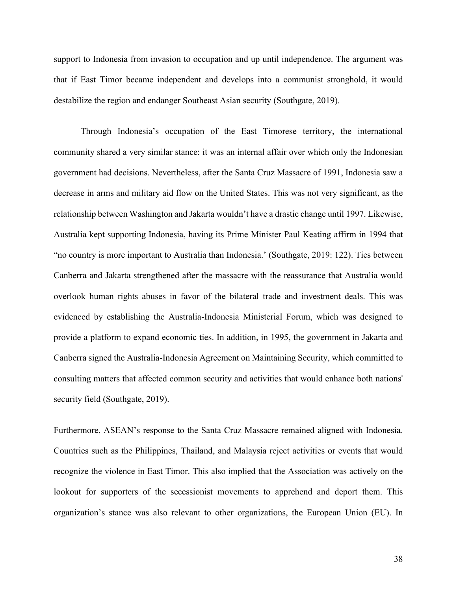support to Indonesia from invasion to occupation and up until independence. The argument was that if East Timor became independent and develops into a communist stronghold, it would destabilize the region and endanger Southeast Asian security (Southgate, 2019).

Through Indonesia's occupation of the East Timorese territory, the international community shared a very similar stance: it was an internal affair over which only the Indonesian government had decisions. Nevertheless, after the Santa Cruz Massacre of 1991, Indonesia saw a decrease in arms and military aid flow on the United States. This was not very significant, as the relationship between Washington and Jakarta wouldn't have a drastic change until 1997. Likewise, Australia kept supporting Indonesia, having its Prime Minister Paul Keating affirm in 1994 that "no country is more important to Australia than Indonesia.' (Southgate, 2019: 122). Ties between Canberra and Jakarta strengthened after the massacre with the reassurance that Australia would overlook human rights abuses in favor of the bilateral trade and investment deals. This was evidenced by establishing the Australia-Indonesia Ministerial Forum, which was designed to provide a platform to expand economic ties. In addition, in 1995, the government in Jakarta and Canberra signed the Australia-Indonesia Agreement on Maintaining Security, which committed to consulting matters that affected common security and activities that would enhance both nations' security field (Southgate, 2019).

Furthermore, ASEAN's response to the Santa Cruz Massacre remained aligned with Indonesia. Countries such as the Philippines, Thailand, and Malaysia reject activities or events that would recognize the violence in East Timor. This also implied that the Association was actively on the lookout for supporters of the secessionist movements to apprehend and deport them. This organization's stance was also relevant to other organizations, the European Union (EU). In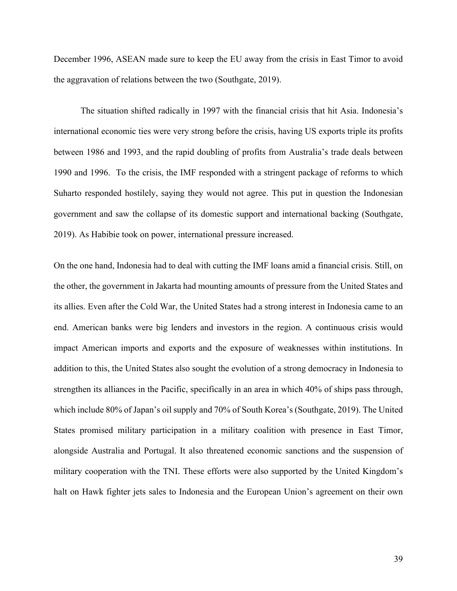December 1996, ASEAN made sure to keep the EU away from the crisis in East Timor to avoid the aggravation of relations between the two (Southgate, 2019).

The situation shifted radically in 1997 with the financial crisis that hit Asia. Indonesia's international economic ties were very strong before the crisis, having US exports triple its profits between 1986 and 1993, and the rapid doubling of profits from Australia's trade deals between 1990 and 1996. To the crisis, the IMF responded with a stringent package of reforms to which Suharto responded hostilely, saying they would not agree. This put in question the Indonesian government and saw the collapse of its domestic support and international backing (Southgate, 2019). As Habibie took on power, international pressure increased.

On the one hand, Indonesia had to deal with cutting the IMF loans amid a financial crisis. Still, on the other, the government in Jakarta had mounting amounts of pressure from the United States and its allies. Even after the Cold War, the United States had a strong interest in Indonesia came to an end. American banks were big lenders and investors in the region. A continuous crisis would impact American imports and exports and the exposure of weaknesses within institutions. In addition to this, the United States also sought the evolution of a strong democracy in Indonesia to strengthen its alliances in the Pacific, specifically in an area in which 40% of ships pass through, which include 80% of Japan's oil supply and 70% of South Korea's (Southgate, 2019). The United States promised military participation in a military coalition with presence in East Timor, alongside Australia and Portugal. It also threatened economic sanctions and the suspension of military cooperation with the TNI. These efforts were also supported by the United Kingdom's halt on Hawk fighter jets sales to Indonesia and the European Union's agreement on their own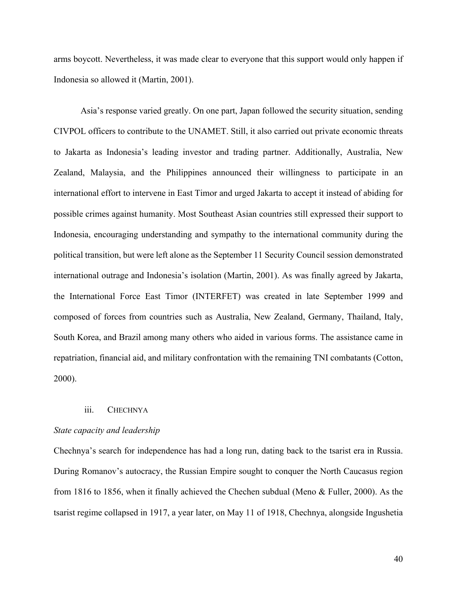arms boycott. Nevertheless, it was made clear to everyone that this support would only happen if Indonesia so allowed it (Martin, 2001).

Asia's response varied greatly. On one part, Japan followed the security situation, sending CIVPOL officers to contribute to the UNAMET. Still, it also carried out private economic threats to Jakarta as Indonesia's leading investor and trading partner. Additionally, Australia, New Zealand, Malaysia, and the Philippines announced their willingness to participate in an international effort to intervene in East Timor and urged Jakarta to accept it instead of abiding for possible crimes against humanity. Most Southeast Asian countries still expressed their support to Indonesia, encouraging understanding and sympathy to the international community during the political transition, but were left alone as the September 11 Security Council session demonstrated international outrage and Indonesia's isolation (Martin, 2001). As was finally agreed by Jakarta, the International Force East Timor (INTERFET) was created in late September 1999 and composed of forces from countries such as Australia, New Zealand, Germany, Thailand, Italy, South Korea, and Brazil among many others who aided in various forms. The assistance came in repatriation, financial aid, and military confrontation with the remaining TNI combatants (Cotton, 2000).

### iii. CHECHNYA

# *State capacity and leadership*

Chechnya's search for independence has had a long run, dating back to the tsarist era in Russia. During Romanov's autocracy, the Russian Empire sought to conquer the North Caucasus region from 1816 to 1856, when it finally achieved the Chechen subdual (Meno & Fuller, 2000). As the tsarist regime collapsed in 1917, a year later, on May 11 of 1918, Chechnya, alongside Ingushetia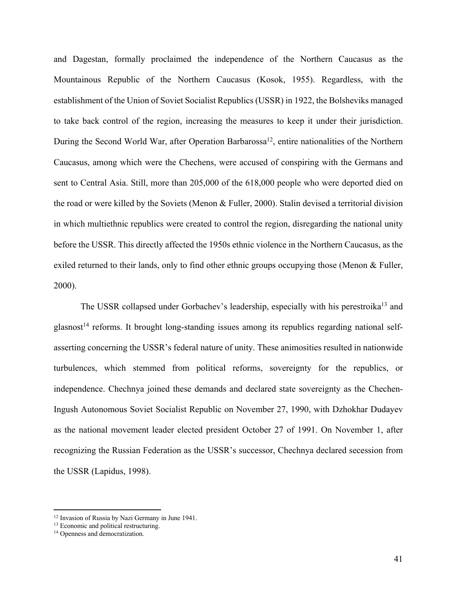and Dagestan, formally proclaimed the independence of the Northern Caucasus as the Mountainous Republic of the Northern Caucasus (Kosok, 1955). Regardless, with the establishment of the Union of Soviet Socialist Republics (USSR) in 1922, the Bolsheviks managed to take back control of the region, increasing the measures to keep it under their jurisdiction. During the Second World War, after Operation Barbarossa<sup>12</sup>, entire nationalities of the Northern Caucasus, among which were the Chechens, were accused of conspiring with the Germans and sent to Central Asia. Still, more than 205,000 of the 618,000 people who were deported died on the road or were killed by the Soviets (Menon & Fuller, 2000). Stalin devised a territorial division in which multiethnic republics were created to control the region, disregarding the national unity before the USSR. This directly affected the 1950s ethnic violence in the Northern Caucasus, as the exiled returned to their lands, only to find other ethnic groups occupying those (Menon & Fuller, 2000).

The USSR collapsed under Gorbachev's leadership, especially with his perestroika<sup>13</sup> and  $g$ lasnost<sup>14</sup> reforms. It brought long-standing issues among its republics regarding national selfasserting concerning the USSR's federal nature of unity. These animosities resulted in nationwide turbulences, which stemmed from political reforms, sovereignty for the republics, or independence. Chechnya joined these demands and declared state sovereignty as the Chechen-Ingush Autonomous Soviet Socialist Republic on November 27, 1990, with Dzhokhar Dudayev as the national movement leader elected president October 27 of 1991. On November 1, after recognizing the Russian Federation as the USSR's successor, Chechnya declared secession from the USSR (Lapidus, 1998).

<sup>&</sup>lt;sup>12</sup> Invasion of Russia by Nazi Germany in June 1941.<br><sup>13</sup> Economic and political restructuring.<br><sup>14</sup> Openness and democratization.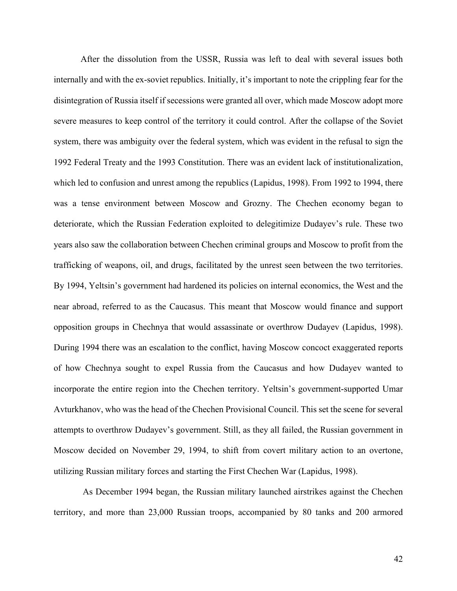After the dissolution from the USSR, Russia was left to deal with several issues both internally and with the ex-soviet republics. Initially, it's important to note the crippling fear for the disintegration of Russia itself if secessions were granted all over, which made Moscow adopt more severe measures to keep control of the territory it could control. After the collapse of the Soviet system, there was ambiguity over the federal system, which was evident in the refusal to sign the 1992 Federal Treaty and the 1993 Constitution. There was an evident lack of institutionalization, which led to confusion and unrest among the republics (Lapidus, 1998). From 1992 to 1994, there was a tense environment between Moscow and Grozny. The Chechen economy began to deteriorate, which the Russian Federation exploited to delegitimize Dudayev's rule. These two years also saw the collaboration between Chechen criminal groups and Moscow to profit from the trafficking of weapons, oil, and drugs, facilitated by the unrest seen between the two territories. By 1994, Yeltsin's government had hardened its policies on internal economics, the West and the near abroad, referred to as the Caucasus. This meant that Moscow would finance and support opposition groups in Chechnya that would assassinate or overthrow Dudayev (Lapidus, 1998). During 1994 there was an escalation to the conflict, having Moscow concoct exaggerated reports of how Chechnya sought to expel Russia from the Caucasus and how Dudayev wanted to incorporate the entire region into the Chechen territory. Yeltsin's government-supported Umar Avturkhanov, who was the head of the Chechen Provisional Council. This set the scene for several attempts to overthrow Dudayev's government. Still, as they all failed, the Russian government in Moscow decided on November 29, 1994, to shift from covert military action to an overtone, utilizing Russian military forces and starting the First Chechen War (Lapidus, 1998).

As December 1994 began, the Russian military launched airstrikes against the Chechen territory, and more than 23,000 Russian troops, accompanied by 80 tanks and 200 armored

42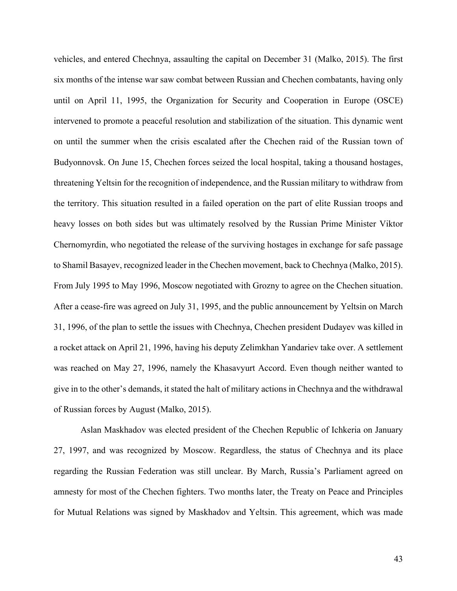vehicles, and entered Chechnya, assaulting the capital on December 31 (Malko, 2015). The first six months of the intense war saw combat between Russian and Chechen combatants, having only until on April 11, 1995, the Organization for Security and Cooperation in Europe (OSCE) intervened to promote a peaceful resolution and stabilization of the situation. This dynamic went on until the summer when the crisis escalated after the Chechen raid of the Russian town of Budyonnovsk. On June 15, Chechen forces seized the local hospital, taking a thousand hostages, threatening Yeltsin for the recognition of independence, and the Russian military to withdraw from the territory. This situation resulted in a failed operation on the part of elite Russian troops and heavy losses on both sides but was ultimately resolved by the Russian Prime Minister Viktor Chernomyrdin, who negotiated the release of the surviving hostages in exchange for safe passage to Shamil Basayev, recognized leader in the Chechen movement, back to Chechnya (Malko, 2015). From July 1995 to May 1996, Moscow negotiated with Grozny to agree on the Chechen situation. After a cease-fire was agreed on July 31, 1995, and the public announcement by Yeltsin on March 31, 1996, of the plan to settle the issues with Chechnya, Chechen president Dudayev was killed in a rocket attack on April 21, 1996, having his deputy Zelimkhan Yandariev take over. A settlement was reached on May 27, 1996, namely the Khasavyurt Accord. Even though neither wanted to give in to the other's demands, it stated the halt of military actions in Chechnya and the withdrawal of Russian forces by August (Malko, 2015).

Aslan Maskhadov was elected president of the Chechen Republic of Ichkeria on January 27, 1997, and was recognized by Moscow. Regardless, the status of Chechnya and its place regarding the Russian Federation was still unclear. By March, Russia's Parliament agreed on amnesty for most of the Chechen fighters. Two months later, the Treaty on Peace and Principles for Mutual Relations was signed by Maskhadov and Yeltsin. This agreement, which was made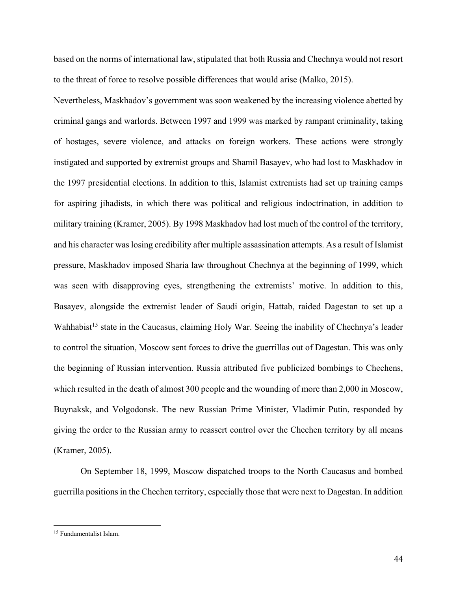based on the norms of international law, stipulated that both Russia and Chechnya would not resort to the threat of force to resolve possible differences that would arise (Malko, 2015).

Nevertheless, Maskhadov's government was soon weakened by the increasing violence abetted by criminal gangs and warlords. Between 1997 and 1999 was marked by rampant criminality, taking of hostages, severe violence, and attacks on foreign workers. These actions were strongly instigated and supported by extremist groups and Shamil Basayev, who had lost to Maskhadov in the 1997 presidential elections. In addition to this, Islamist extremists had set up training camps for aspiring jihadists, in which there was political and religious indoctrination, in addition to military training (Kramer, 2005). By 1998 Maskhadov had lost much of the control of the territory, and his character was losing credibility after multiple assassination attempts. As a result of Islamist pressure, Maskhadov imposed Sharia law throughout Chechnya at the beginning of 1999, which was seen with disapproving eyes, strengthening the extremists' motive. In addition to this, Basayev, alongside the extremist leader of Saudi origin, Hattab, raided Dagestan to set up a Wahhabist<sup>15</sup> state in the Caucasus, claiming Holy War. Seeing the inability of Chechnya's leader to control the situation, Moscow sent forces to drive the guerrillas out of Dagestan. This was only the beginning of Russian intervention. Russia attributed five publicized bombings to Chechens, which resulted in the death of almost 300 people and the wounding of more than 2,000 in Moscow, Buynaksk, and Volgodonsk. The new Russian Prime Minister, Vladimir Putin, responded by giving the order to the Russian army to reassert control over the Chechen territory by all means (Kramer, 2005).

On September 18, 1999, Moscow dispatched troops to the North Caucasus and bombed guerrilla positions in the Chechen territory, especially those that were next to Dagestan. In addition

<sup>15</sup> Fundamentalist Islam.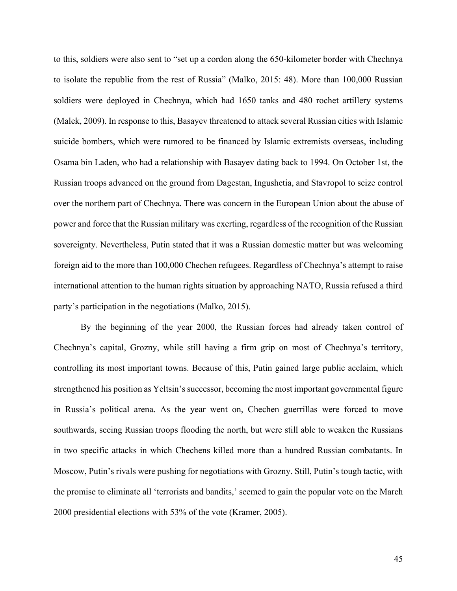to this, soldiers were also sent to "set up a cordon along the 650-kilometer border with Chechnya to isolate the republic from the rest of Russia" (Malko, 2015: 48). More than 100,000 Russian soldiers were deployed in Chechnya, which had 1650 tanks and 480 rochet artillery systems (Malek, 2009). In response to this, Basayev threatened to attack several Russian cities with Islamic suicide bombers, which were rumored to be financed by Islamic extremists overseas, including Osama bin Laden, who had a relationship with Basayev dating back to 1994. On October 1st, the Russian troops advanced on the ground from Dagestan, Ingushetia, and Stavropol to seize control over the northern part of Chechnya. There was concern in the European Union about the abuse of power and force that the Russian military was exerting, regardless of the recognition of the Russian sovereignty. Nevertheless, Putin stated that it was a Russian domestic matter but was welcoming foreign aid to the more than 100,000 Chechen refugees. Regardless of Chechnya's attempt to raise international attention to the human rights situation by approaching NATO, Russia refused a third party's participation in the negotiations (Malko, 2015).

By the beginning of the year 2000, the Russian forces had already taken control of Chechnya's capital, Grozny, while still having a firm grip on most of Chechnya's territory, controlling its most important towns. Because of this, Putin gained large public acclaim, which strengthened his position as Yeltsin's successor, becoming the most important governmental figure in Russia's political arena. As the year went on, Chechen guerrillas were forced to move southwards, seeing Russian troops flooding the north, but were still able to weaken the Russians in two specific attacks in which Chechens killed more than a hundred Russian combatants. In Moscow, Putin's rivals were pushing for negotiations with Grozny. Still, Putin's tough tactic, with the promise to eliminate all 'terrorists and bandits,' seemed to gain the popular vote on the March 2000 presidential elections with 53% of the vote (Kramer, 2005).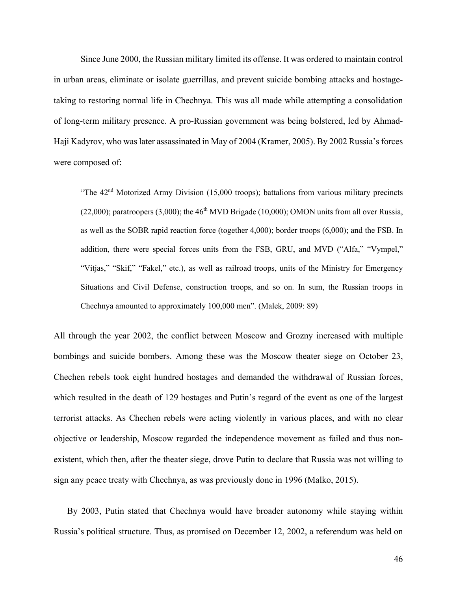Since June 2000, the Russian military limited its offense. It was ordered to maintain control in urban areas, eliminate or isolate guerrillas, and prevent suicide bombing attacks and hostagetaking to restoring normal life in Chechnya. This was all made while attempting a consolidation of long-term military presence. A pro-Russian government was being bolstered, led by Ahmad-Haji Kadyrov, who was later assassinated in May of 2004 (Kramer, 2005). By 2002 Russia's forces were composed of:

"The  $42<sup>nd</sup>$  Motorized Army Division (15,000 troops); battalions from various military precincts (22,000); paratroopers (3,000); the  $46<sup>th</sup> MVD Brigade$  (10,000); OMON units from all over Russia, as well as the SOBR rapid reaction force (together 4,000); border troops (6,000); and the FSB. In addition, there were special forces units from the FSB, GRU, and MVD ("Alfa," "Vympel," "Vitjas," "Skif," "Fakel," etc.), as well as railroad troops, units of the Ministry for Emergency Situations and Civil Defense, construction troops, and so on. In sum, the Russian troops in Chechnya amounted to approximately 100,000 men". (Malek, 2009: 89)

All through the year 2002, the conflict between Moscow and Grozny increased with multiple bombings and suicide bombers. Among these was the Moscow theater siege on October 23, Chechen rebels took eight hundred hostages and demanded the withdrawal of Russian forces, which resulted in the death of 129 hostages and Putin's regard of the event as one of the largest terrorist attacks. As Chechen rebels were acting violently in various places, and with no clear objective or leadership, Moscow regarded the independence movement as failed and thus nonexistent, which then, after the theater siege, drove Putin to declare that Russia was not willing to sign any peace treaty with Chechnya, as was previously done in 1996 (Malko, 2015).

By 2003, Putin stated that Chechnya would have broader autonomy while staying within Russia's political structure. Thus, as promised on December 12, 2002, a referendum was held on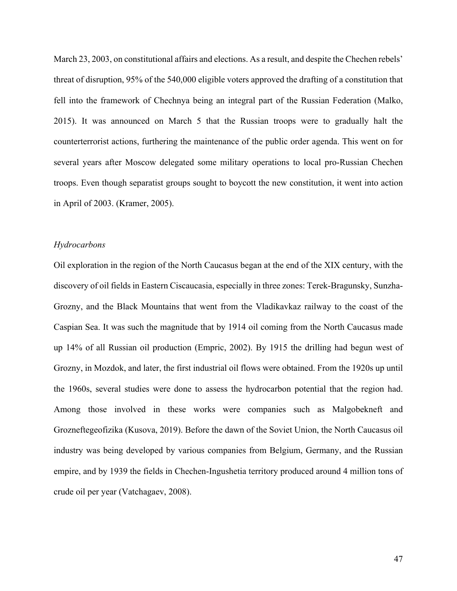March 23, 2003, on constitutional affairs and elections. As a result, and despite the Chechen rebels' threat of disruption, 95% of the 540,000 eligible voters approved the drafting of a constitution that fell into the framework of Chechnya being an integral part of the Russian Federation (Malko, 2015). It was announced on March 5 that the Russian troops were to gradually halt the counterterrorist actions, furthering the maintenance of the public order agenda. This went on for several years after Moscow delegated some military operations to local pro-Russian Chechen troops. Even though separatist groups sought to boycott the new constitution, it went into action in April of 2003. (Kramer, 2005).

## *Hydrocarbons*

Oil exploration in the region of the North Caucasus began at the end of the XIX century, with the discovery of oil fields in Eastern Ciscaucasia, especially in three zones: Terek-Bragunsky, Sunzha-Grozny, and the Black Mountains that went from the Vladikavkaz railway to the coast of the Caspian Sea. It was such the magnitude that by 1914 oil coming from the North Caucasus made up 14% of all Russian oil production (Empric, 2002). By 1915 the drilling had begun west of Grozny, in Mozdok, and later, the first industrial oil flows were obtained. From the 1920s up until the 1960s, several studies were done to assess the hydrocarbon potential that the region had. Among those involved in these works were companies such as Malgobekneft and Grozneftegeofizika (Kusova, 2019). Before the dawn of the Soviet Union, the North Caucasus oil industry was being developed by various companies from Belgium, Germany, and the Russian empire, and by 1939 the fields in Chechen-Ingushetia territory produced around 4 million tons of crude oil per year (Vatchagaev, 2008).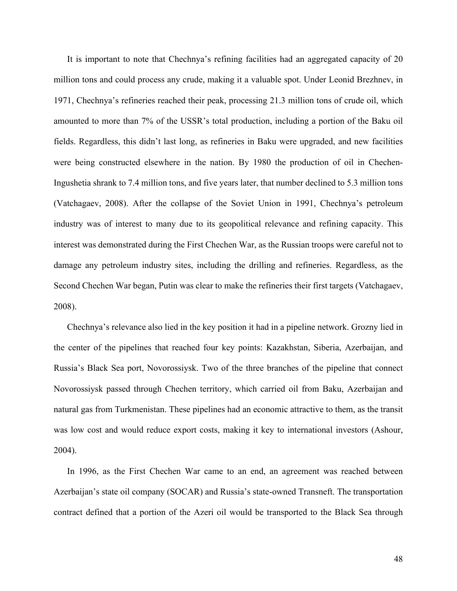It is important to note that Chechnya's refining facilities had an aggregated capacity of 20 million tons and could process any crude, making it a valuable spot. Under Leonid Brezhnev, in 1971, Chechnya's refineries reached their peak, processing 21.3 million tons of crude oil, which amounted to more than 7% of the USSR's total production, including a portion of the Baku oil fields. Regardless, this didn't last long, as refineries in Baku were upgraded, and new facilities were being constructed elsewhere in the nation. By 1980 the production of oil in Chechen-Ingushetia shrank to 7.4 million tons, and five years later, that number declined to 5.3 million tons (Vatchagaev, 2008). After the collapse of the Soviet Union in 1991, Chechnya's petroleum industry was of interest to many due to its geopolitical relevance and refining capacity. This interest was demonstrated during the First Chechen War, as the Russian troops were careful not to damage any petroleum industry sites, including the drilling and refineries. Regardless, as the Second Chechen War began, Putin was clear to make the refineries their first targets (Vatchagaev, 2008).

Chechnya's relevance also lied in the key position it had in a pipeline network. Grozny lied in the center of the pipelines that reached four key points: Kazakhstan, Siberia, Azerbaijan, and Russia's Black Sea port, Novorossiysk. Two of the three branches of the pipeline that connect Novorossiysk passed through Chechen territory, which carried oil from Baku, Azerbaijan and natural gas from Turkmenistan. These pipelines had an economic attractive to them, as the transit was low cost and would reduce export costs, making it key to international investors (Ashour, 2004).

In 1996, as the First Chechen War came to an end, an agreement was reached between Azerbaijan's state oil company (SOCAR) and Russia's state-owned Transneft. The transportation contract defined that a portion of the Azeri oil would be transported to the Black Sea through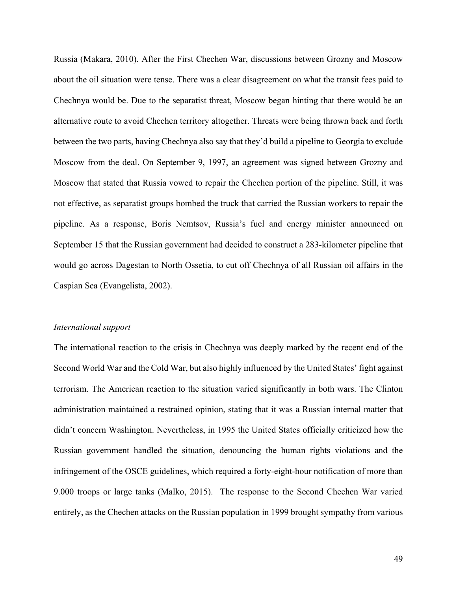Russia (Makara, 2010). After the First Chechen War, discussions between Grozny and Moscow about the oil situation were tense. There was a clear disagreement on what the transit fees paid to Chechnya would be. Due to the separatist threat, Moscow began hinting that there would be an alternative route to avoid Chechen territory altogether. Threats were being thrown back and forth between the two parts, having Chechnya also say that they'd build a pipeline to Georgia to exclude Moscow from the deal. On September 9, 1997, an agreement was signed between Grozny and Moscow that stated that Russia vowed to repair the Chechen portion of the pipeline. Still, it was not effective, as separatist groups bombed the truck that carried the Russian workers to repair the pipeline. As a response, Boris Nemtsov, Russia's fuel and energy minister announced on September 15 that the Russian government had decided to construct a 283-kilometer pipeline that would go across Dagestan to North Ossetia, to cut off Chechnya of all Russian oil affairs in the Caspian Sea (Evangelista, 2002).

#### *International support*

The international reaction to the crisis in Chechnya was deeply marked by the recent end of the Second World War and the Cold War, but also highly influenced by the United States' fight against terrorism. The American reaction to the situation varied significantly in both wars. The Clinton administration maintained a restrained opinion, stating that it was a Russian internal matter that didn't concern Washington. Nevertheless, in 1995 the United States officially criticized how the Russian government handled the situation, denouncing the human rights violations and the infringement of the OSCE guidelines, which required a forty-eight-hour notification of more than 9.000 troops or large tanks (Malko, 2015). The response to the Second Chechen War varied entirely, as the Chechen attacks on the Russian population in 1999 brought sympathy from various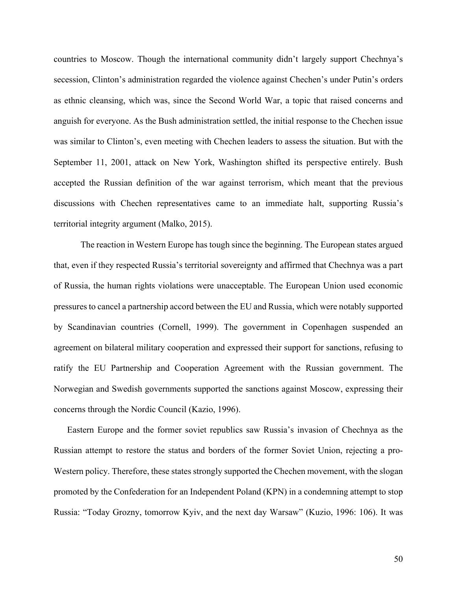countries to Moscow. Though the international community didn't largely support Chechnya's secession, Clinton's administration regarded the violence against Chechen's under Putin's orders as ethnic cleansing, which was, since the Second World War, a topic that raised concerns and anguish for everyone. As the Bush administration settled, the initial response to the Chechen issue was similar to Clinton's, even meeting with Chechen leaders to assess the situation. But with the September 11, 2001, attack on New York, Washington shifted its perspective entirely. Bush accepted the Russian definition of the war against terrorism, which meant that the previous discussions with Chechen representatives came to an immediate halt, supporting Russia's territorial integrity argument (Malko, 2015).

The reaction in Western Europe has tough since the beginning. The European states argued that, even if they respected Russia's territorial sovereignty and affirmed that Chechnya was a part of Russia, the human rights violations were unacceptable. The European Union used economic pressures to cancel a partnership accord between the EU and Russia, which were notably supported by Scandinavian countries (Cornell, 1999). The government in Copenhagen suspended an agreement on bilateral military cooperation and expressed their support for sanctions, refusing to ratify the EU Partnership and Cooperation Agreement with the Russian government. The Norwegian and Swedish governments supported the sanctions against Moscow, expressing their concerns through the Nordic Council (Kazio, 1996).

Eastern Europe and the former soviet republics saw Russia's invasion of Chechnya as the Russian attempt to restore the status and borders of the former Soviet Union, rejecting a pro-Western policy. Therefore, these states strongly supported the Chechen movement, with the slogan promoted by the Confederation for an Independent Poland (KPN) in a condemning attempt to stop Russia: "Today Grozny, tomorrow Kyiv, and the next day Warsaw" (Kuzio, 1996: 106). It was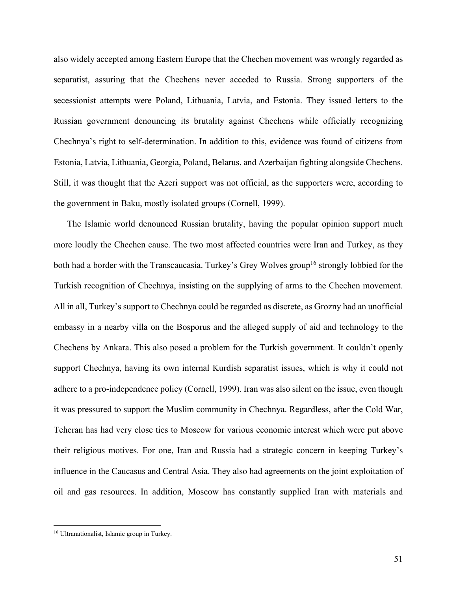also widely accepted among Eastern Europe that the Chechen movement was wrongly regarded as separatist, assuring that the Chechens never acceded to Russia. Strong supporters of the secessionist attempts were Poland, Lithuania, Latvia, and Estonia. They issued letters to the Russian government denouncing its brutality against Chechens while officially recognizing Chechnya's right to self-determination. In addition to this, evidence was found of citizens from Estonia, Latvia, Lithuania, Georgia, Poland, Belarus, and Azerbaijan fighting alongside Chechens. Still, it was thought that the Azeri support was not official, as the supporters were, according to the government in Baku, mostly isolated groups (Cornell, 1999).

The Islamic world denounced Russian brutality, having the popular opinion support much more loudly the Chechen cause. The two most affected countries were Iran and Turkey, as they both had a border with the Transcaucasia. Turkey's Grey Wolves group<sup>16</sup> strongly lobbied for the Turkish recognition of Chechnya, insisting on the supplying of arms to the Chechen movement. All in all, Turkey's support to Chechnya could be regarded as discrete, as Grozny had an unofficial embassy in a nearby villa on the Bosporus and the alleged supply of aid and technology to the Chechens by Ankara. This also posed a problem for the Turkish government. It couldn't openly support Chechnya, having its own internal Kurdish separatist issues, which is why it could not adhere to a pro-independence policy (Cornell, 1999). Iran was also silent on the issue, even though it was pressured to support the Muslim community in Chechnya. Regardless, after the Cold War, Teheran has had very close ties to Moscow for various economic interest which were put above their religious motives. For one, Iran and Russia had a strategic concern in keeping Turkey's influence in the Caucasus and Central Asia. They also had agreements on the joint exploitation of oil and gas resources. In addition, Moscow has constantly supplied Iran with materials and

<sup>16</sup> Ultranationalist, Islamic group in Turkey.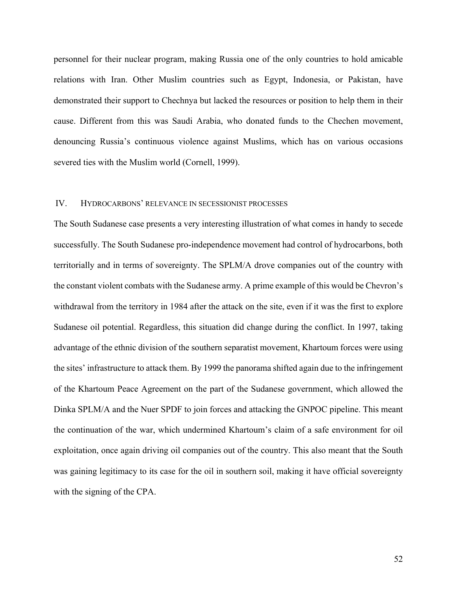personnel for their nuclear program, making Russia one of the only countries to hold amicable relations with Iran. Other Muslim countries such as Egypt, Indonesia, or Pakistan, have demonstrated their support to Chechnya but lacked the resources or position to help them in their cause. Different from this was Saudi Arabia, who donated funds to the Chechen movement, denouncing Russia's continuous violence against Muslims, which has on various occasions severed ties with the Muslim world (Cornell, 1999).

#### IV. HYDROCARBONS' RELEVANCE IN SECESSIONIST PROCESSES

The South Sudanese case presents a very interesting illustration of what comes in handy to secede successfully. The South Sudanese pro-independence movement had control of hydrocarbons, both territorially and in terms of sovereignty. The SPLM/A drove companies out of the country with the constant violent combats with the Sudanese army. A prime example of this would be Chevron's withdrawal from the territory in 1984 after the attack on the site, even if it was the first to explore Sudanese oil potential. Regardless, this situation did change during the conflict. In 1997, taking advantage of the ethnic division of the southern separatist movement, Khartoum forces were using the sites' infrastructure to attack them. By 1999 the panorama shifted again due to the infringement of the Khartoum Peace Agreement on the part of the Sudanese government, which allowed the Dinka SPLM/A and the Nuer SPDF to join forces and attacking the GNPOC pipeline. This meant the continuation of the war, which undermined Khartoum's claim of a safe environment for oil exploitation, once again driving oil companies out of the country. This also meant that the South was gaining legitimacy to its case for the oil in southern soil, making it have official sovereignty with the signing of the CPA.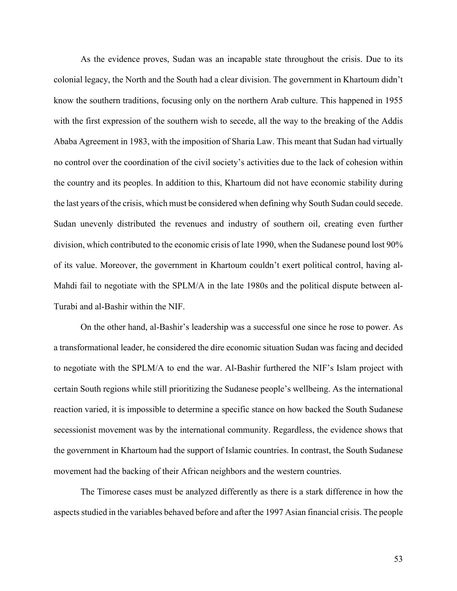As the evidence proves, Sudan was an incapable state throughout the crisis. Due to its colonial legacy, the North and the South had a clear division. The government in Khartoum didn't know the southern traditions, focusing only on the northern Arab culture. This happened in 1955 with the first expression of the southern wish to secede, all the way to the breaking of the Addis Ababa Agreement in 1983, with the imposition of Sharia Law. This meant that Sudan had virtually no control over the coordination of the civil society's activities due to the lack of cohesion within the country and its peoples. In addition to this, Khartoum did not have economic stability during the last years of the crisis, which must be considered when defining why South Sudan could secede. Sudan unevenly distributed the revenues and industry of southern oil, creating even further division, which contributed to the economic crisis of late 1990, when the Sudanese pound lost 90% of its value. Moreover, the government in Khartoum couldn't exert political control, having al-Mahdi fail to negotiate with the SPLM/A in the late 1980s and the political dispute between al-Turabi and al-Bashir within the NIF.

On the other hand, al-Bashir's leadership was a successful one since he rose to power. As a transformational leader, he considered the dire economic situation Sudan was facing and decided to negotiate with the SPLM/A to end the war. Al-Bashir furthered the NIF's Islam project with certain South regions while still prioritizing the Sudanese people's wellbeing. As the international reaction varied, it is impossible to determine a specific stance on how backed the South Sudanese secessionist movement was by the international community. Regardless, the evidence shows that the government in Khartoum had the support of Islamic countries. In contrast, the South Sudanese movement had the backing of their African neighbors and the western countries.

The Timorese cases must be analyzed differently as there is a stark difference in how the aspects studied in the variables behaved before and after the 1997 Asian financial crisis. The people

53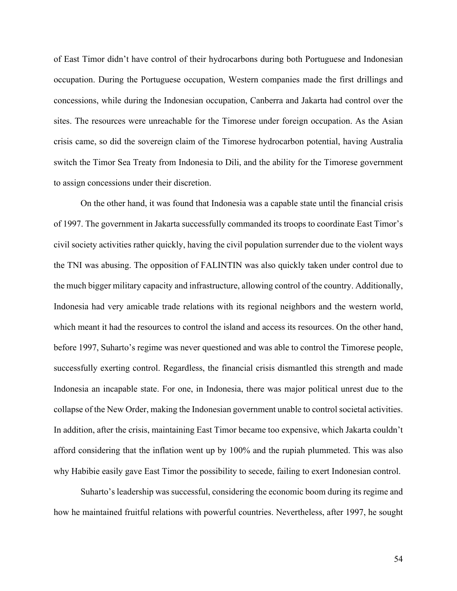of East Timor didn't have control of their hydrocarbons during both Portuguese and Indonesian occupation. During the Portuguese occupation, Western companies made the first drillings and concessions, while during the Indonesian occupation, Canberra and Jakarta had control over the sites. The resources were unreachable for the Timorese under foreign occupation. As the Asian crisis came, so did the sovereign claim of the Timorese hydrocarbon potential, having Australia switch the Timor Sea Treaty from Indonesia to Dili, and the ability for the Timorese government to assign concessions under their discretion.

On the other hand, it was found that Indonesia was a capable state until the financial crisis of 1997. The government in Jakarta successfully commanded its troops to coordinate East Timor's civil society activities rather quickly, having the civil population surrender due to the violent ways the TNI was abusing. The opposition of FALINTIN was also quickly taken under control due to the much bigger military capacity and infrastructure, allowing control of the country. Additionally, Indonesia had very amicable trade relations with its regional neighbors and the western world, which meant it had the resources to control the island and access its resources. On the other hand, before 1997, Suharto's regime was never questioned and was able to control the Timorese people, successfully exerting control. Regardless, the financial crisis dismantled this strength and made Indonesia an incapable state. For one, in Indonesia, there was major political unrest due to the collapse of the New Order, making the Indonesian government unable to control societal activities. In addition, after the crisis, maintaining East Timor became too expensive, which Jakarta couldn't afford considering that the inflation went up by 100% and the rupiah plummeted. This was also why Habibie easily gave East Timor the possibility to secede, failing to exert Indonesian control.

Suharto's leadership was successful, considering the economic boom during its regime and how he maintained fruitful relations with powerful countries. Nevertheless, after 1997, he sought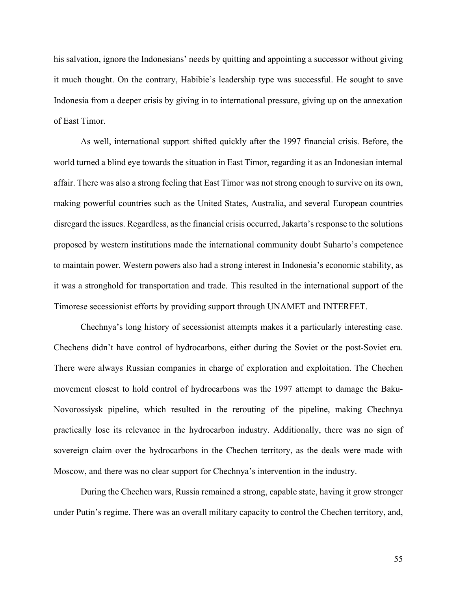his salvation, ignore the Indonesians' needs by quitting and appointing a successor without giving it much thought. On the contrary, Habibie's leadership type was successful. He sought to save Indonesia from a deeper crisis by giving in to international pressure, giving up on the annexation of East Timor.

As well, international support shifted quickly after the 1997 financial crisis. Before, the world turned a blind eye towards the situation in East Timor, regarding it as an Indonesian internal affair. There was also a strong feeling that East Timor was not strong enough to survive on its own, making powerful countries such as the United States, Australia, and several European countries disregard the issues. Regardless, as the financial crisis occurred, Jakarta's response to the solutions proposed by western institutions made the international community doubt Suharto's competence to maintain power. Western powers also had a strong interest in Indonesia's economic stability, as it was a stronghold for transportation and trade. This resulted in the international support of the Timorese secessionist efforts by providing support through UNAMET and INTERFET.

Chechnya's long history of secessionist attempts makes it a particularly interesting case. Chechens didn't have control of hydrocarbons, either during the Soviet or the post-Soviet era. There were always Russian companies in charge of exploration and exploitation. The Chechen movement closest to hold control of hydrocarbons was the 1997 attempt to damage the Baku-Novorossiysk pipeline, which resulted in the rerouting of the pipeline, making Chechnya practically lose its relevance in the hydrocarbon industry. Additionally, there was no sign of sovereign claim over the hydrocarbons in the Chechen territory, as the deals were made with Moscow, and there was no clear support for Chechnya's intervention in the industry.

During the Chechen wars, Russia remained a strong, capable state, having it grow stronger under Putin's regime. There was an overall military capacity to control the Chechen territory, and,

55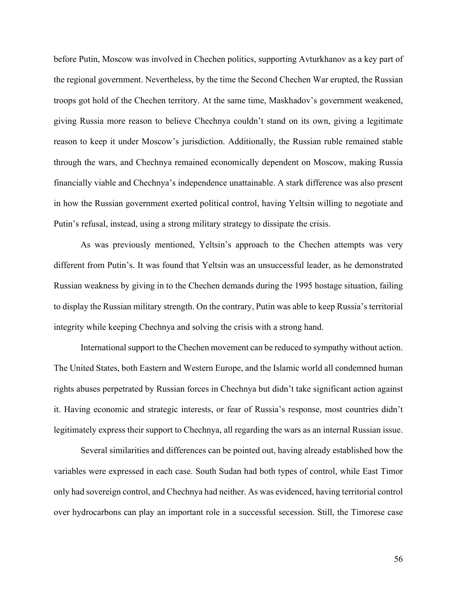before Putin, Moscow was involved in Chechen politics, supporting Avturkhanov as a key part of the regional government. Nevertheless, by the time the Second Chechen War erupted, the Russian troops got hold of the Chechen territory. At the same time, Maskhadov's government weakened, giving Russia more reason to believe Chechnya couldn't stand on its own, giving a legitimate reason to keep it under Moscow's jurisdiction. Additionally, the Russian ruble remained stable through the wars, and Chechnya remained economically dependent on Moscow, making Russia financially viable and Chechnya's independence unattainable. A stark difference was also present in how the Russian government exerted political control, having Yeltsin willing to negotiate and Putin's refusal, instead, using a strong military strategy to dissipate the crisis.

As was previously mentioned, Yeltsin's approach to the Chechen attempts was very different from Putin's. It was found that Yeltsin was an unsuccessful leader, as he demonstrated Russian weakness by giving in to the Chechen demands during the 1995 hostage situation, failing to display the Russian military strength. On the contrary, Putin was able to keep Russia's territorial integrity while keeping Chechnya and solving the crisis with a strong hand.

International support to the Chechen movement can be reduced to sympathy without action. The United States, both Eastern and Western Europe, and the Islamic world all condemned human rights abuses perpetrated by Russian forces in Chechnya but didn't take significant action against it. Having economic and strategic interests, or fear of Russia's response, most countries didn't legitimately express their support to Chechnya, all regarding the wars as an internal Russian issue.

Several similarities and differences can be pointed out, having already established how the variables were expressed in each case. South Sudan had both types of control, while East Timor only had sovereign control, and Chechnya had neither. As was evidenced, having territorial control over hydrocarbons can play an important role in a successful secession. Still, the Timorese case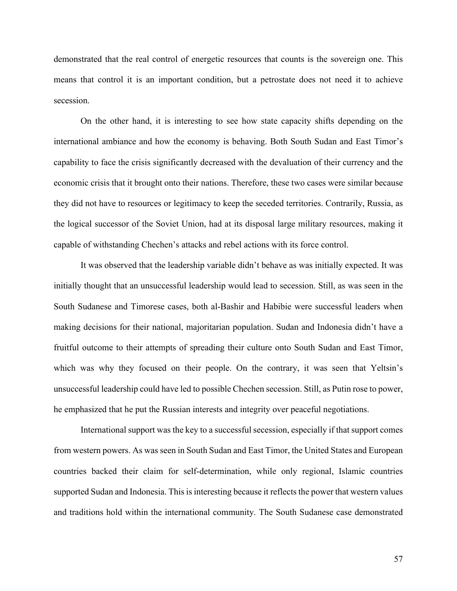demonstrated that the real control of energetic resources that counts is the sovereign one. This means that control it is an important condition, but a petrostate does not need it to achieve secession.

On the other hand, it is interesting to see how state capacity shifts depending on the international ambiance and how the economy is behaving. Both South Sudan and East Timor's capability to face the crisis significantly decreased with the devaluation of their currency and the economic crisis that it brought onto their nations. Therefore, these two cases were similar because they did not have to resources or legitimacy to keep the seceded territories. Contrarily, Russia, as the logical successor of the Soviet Union, had at its disposal large military resources, making it capable of withstanding Chechen's attacks and rebel actions with its force control.

It was observed that the leadership variable didn't behave as was initially expected. It was initially thought that an unsuccessful leadership would lead to secession. Still, as was seen in the South Sudanese and Timorese cases, both al-Bashir and Habibie were successful leaders when making decisions for their national, majoritarian population. Sudan and Indonesia didn't have a fruitful outcome to their attempts of spreading their culture onto South Sudan and East Timor, which was why they focused on their people. On the contrary, it was seen that Yeltsin's unsuccessful leadership could have led to possible Chechen secession. Still, as Putin rose to power, he emphasized that he put the Russian interests and integrity over peaceful negotiations.

International support was the key to a successful secession, especially if that support comes from western powers. As was seen in South Sudan and East Timor, the United States and European countries backed their claim for self-determination, while only regional, Islamic countries supported Sudan and Indonesia. This is interesting because it reflects the power that western values and traditions hold within the international community. The South Sudanese case demonstrated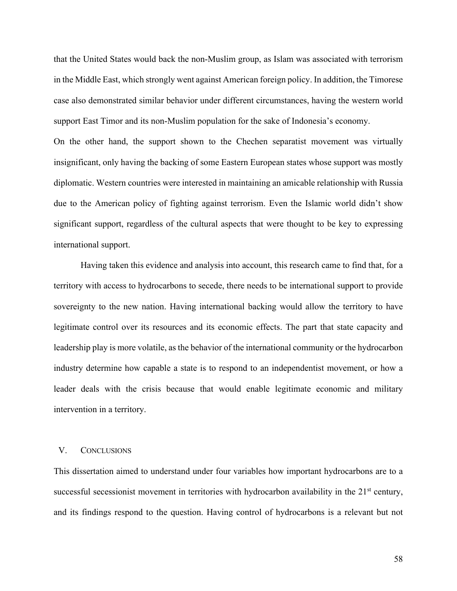that the United States would back the non-Muslim group, as Islam was associated with terrorism in the Middle East, which strongly went against American foreign policy. In addition, the Timorese case also demonstrated similar behavior under different circumstances, having the western world support East Timor and its non-Muslim population for the sake of Indonesia's economy.

On the other hand, the support shown to the Chechen separatist movement was virtually insignificant, only having the backing of some Eastern European states whose support was mostly diplomatic. Western countries were interested in maintaining an amicable relationship with Russia due to the American policy of fighting against terrorism. Even the Islamic world didn't show significant support, regardless of the cultural aspects that were thought to be key to expressing international support.

Having taken this evidence and analysis into account, this research came to find that, for a territory with access to hydrocarbons to secede, there needs to be international support to provide sovereignty to the new nation. Having international backing would allow the territory to have legitimate control over its resources and its economic effects. The part that state capacity and leadership play is more volatile, as the behavior of the international community or the hydrocarbon industry determine how capable a state is to respond to an independentist movement, or how a leader deals with the crisis because that would enable legitimate economic and military intervention in a territory.

# V. CONCLUSIONS

This dissertation aimed to understand under four variables how important hydrocarbons are to a successful secessionist movement in territories with hydrocarbon availability in the  $21<sup>st</sup>$  century, and its findings respond to the question. Having control of hydrocarbons is a relevant but not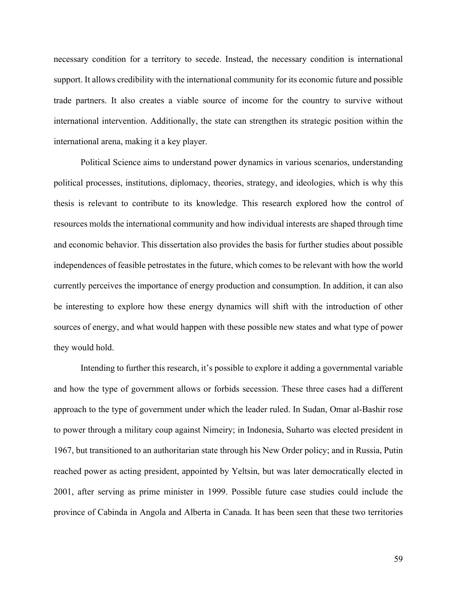necessary condition for a territory to secede. Instead, the necessary condition is international support. It allows credibility with the international community for its economic future and possible trade partners. It also creates a viable source of income for the country to survive without international intervention. Additionally, the state can strengthen its strategic position within the international arena, making it a key player.

Political Science aims to understand power dynamics in various scenarios, understanding political processes, institutions, diplomacy, theories, strategy, and ideologies, which is why this thesis is relevant to contribute to its knowledge. This research explored how the control of resources molds the international community and how individual interests are shaped through time and economic behavior. This dissertation also provides the basis for further studies about possible independences of feasible petrostates in the future, which comes to be relevant with how the world currently perceives the importance of energy production and consumption. In addition, it can also be interesting to explore how these energy dynamics will shift with the introduction of other sources of energy, and what would happen with these possible new states and what type of power they would hold.

Intending to further this research, it's possible to explore it adding a governmental variable and how the type of government allows or forbids secession. These three cases had a different approach to the type of government under which the leader ruled. In Sudan, Omar al-Bashir rose to power through a military coup against Nimeiry; in Indonesia, Suharto was elected president in 1967, but transitioned to an authoritarian state through his New Order policy; and in Russia, Putin reached power as acting president, appointed by Yeltsin, but was later democratically elected in 2001, after serving as prime minister in 1999. Possible future case studies could include the province of Cabinda in Angola and Alberta in Canada. It has been seen that these two territories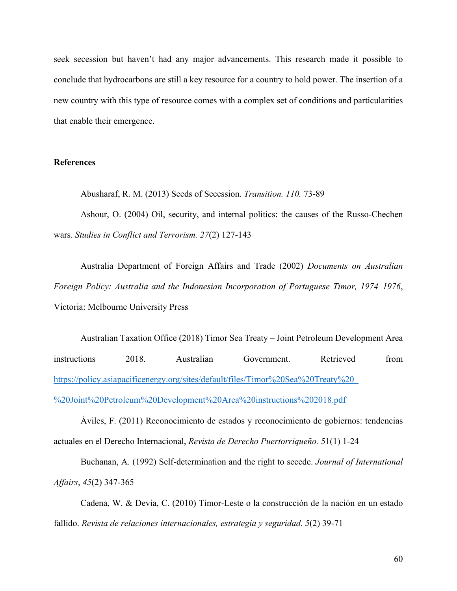seek secession but haven't had any major advancements. This research made it possible to conclude that hydrocarbons are still a key resource for a country to hold power. The insertion of a new country with this type of resource comes with a complex set of conditions and particularities that enable their emergence.

# **References**

Abusharaf, R. M. (2013) Seeds of Secession. *Transition. 110.* 73-89

Ashour, O. (2004) Oil, security, and internal politics: the causes of the Russo-Chechen wars. *Studies in Conflict and Terrorism. 27*(2) 127-143

Australia Department of Foreign Affairs and Trade (2002) *Documents on Australian Foreign Policy: Australia and the Indonesian Incorporation of Portuguese Timor, 1974–1976*, Victoria: Melbourne University Press

Australian Taxation Office (2018) Timor Sea Treaty – Joint Petroleum Development Area instructions 2018. Australian Government. Retrieved from https://policy.asiapacificenergy.org/sites/default/files/Timor%20Sea%20Treaty%20– %20Joint%20Petroleum%20Development%20Area%20instructions%202018.pdf

Áviles, F. (2011) Reconocimiento de estados y reconocimiento de gobiernos: tendencias actuales en el Derecho Internacional, *Revista de Derecho Puertorriqueño.* 51(1) 1-24

Buchanan, A. (1992) Self-determination and the right to secede. *Journal of International Affairs*, *45*(2) 347-365

Cadena, W. & Devia, C. (2010) Timor-Leste o la construcción de la nación en un estado fallido. *Revista de relaciones internacionales, estrategia y seguridad*. *5*(2) 39-71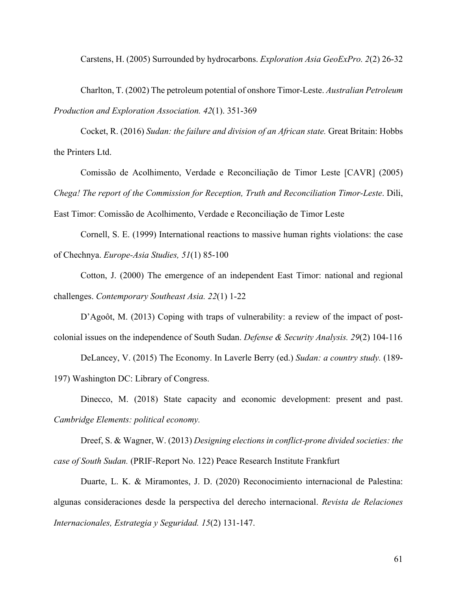Carstens, H. (2005) Surrounded by hydrocarbons. *Exploration Asia GeoExPro. 2*(2) 26-32

Charlton, T. (2002) The petroleum potential of onshore Timor-Leste. *Australian Petroleum Production and Exploration Association. 42*(1). 351-369

Cocket, R. (2016) *Sudan: the failure and division of an African state.* Great Britain: Hobbs the Printers Ltd.

Comissão de Acolhimento, Verdade e Reconciliação de Timor Leste [CAVR] (2005) *Chega! The report of the Commission for Reception, Truth and Reconciliation Timor-Leste*. Dili,

East Timor: Comissão de Acolhimento, Verdade e Reconciliação de Timor Leste

Cornell, S. E. (1999) International reactions to massive human rights violations: the case of Chechnya. *Europe-Asia Studies, 51*(1) 85-100

Cotton, J. (2000) The emergence of an independent East Timor: national and regional challenges. *Contemporary Southeast Asia. 22*(1) 1-22

D'Agoôt, M. (2013) Coping with traps of vulnerability: a review of the impact of postcolonial issues on the independence of South Sudan. *Defense & Security Analysis. 29*(2) 104-116

DeLancey, V. (2015) The Economy. In Laverle Berry (ed.) *Sudan: a country study.* (189- 197) Washington DC: Library of Congress.

Dinecco, M. (2018) State capacity and economic development: present and past. *Cambridge Elements: political economy.*

Dreef, S. & Wagner, W. (2013) *Designing elections in conflict-prone divided societies: the case of South Sudan.* (PRIF-Report No. 122) Peace Research Institute Frankfurt

Duarte, L. K. & Miramontes, J. D. (2020) Reconocimiento internacional de Palestina: algunas consideraciones desde la perspectiva del derecho internacional. *Revista de Relaciones Internacionales, Estrategia y Seguridad. 15*(2) 131-147.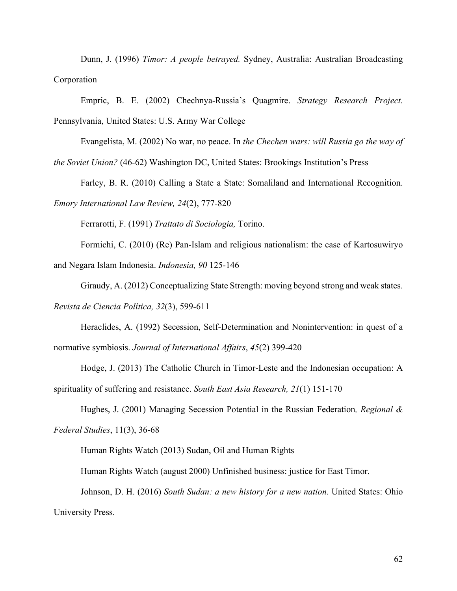Dunn, J. (1996) *Timor: A people betrayed.* Sydney, Australia: Australian Broadcasting Corporation

Empric, B. E. (2002) Chechnya-Russia's Quagmire. *Strategy Research Project.* Pennsylvania, United States: U.S. Army War College

Evangelista, M. (2002) No war, no peace. In *the Chechen wars: will Russia go the way of* 

*the Soviet Union?* (46-62) Washington DC, United States: Brookings Institution's Press

Farley, B. R. (2010) Calling a State a State: Somaliland and International Recognition.

*Emory International Law Review, 24*(2), 777-820

Ferrarotti, F. (1991) *Trattato di Sociologia,* Torino.

Formichi, C. (2010) (Re) Pan-Islam and religious nationalism: the case of Kartosuwiryo and Negara Islam Indonesia. *Indonesia, 90* 125-146

Giraudy, A. (2012) Conceptualizing State Strength: moving beyond strong and weak states.

*Revista de Ciencia Política, 32*(3), 599-611

Heraclides, A. (1992) Secession, Self-Determination and Nonintervention: in quest of a normative symbiosis. *Journal of International Affairs*, *45*(2) 399-420

Hodge, J. (2013) The Catholic Church in Timor-Leste and the Indonesian occupation: A spirituality of suffering and resistance. *South East Asia Research, 21*(1) 151-170

Hughes, J. (2001) Managing Secession Potential in the Russian Federation*, Regional & Federal Studies*, 11(3), 36-68

Human Rights Watch (2013) Sudan, Oil and Human Rights

Human Rights Watch (august 2000) Unfinished business: justice for East Timor.

Johnson, D. H. (2016) *South Sudan: a new history for a new nation*. United States: Ohio University Press.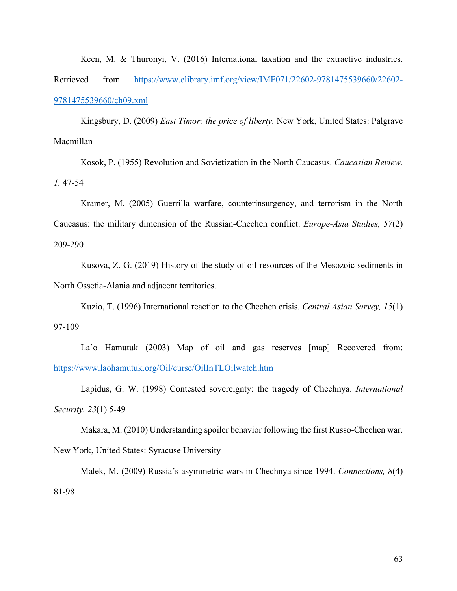Keen, M. & Thuronyi, V. (2016) International taxation and the extractive industries. Retrieved from https://www.elibrary.imf.org/view/IMF071/22602-9781475539660/22602- 9781475539660/ch09.xml

Kingsbury, D. (2009) *East Timor: the price of liberty.* New York, United States: Palgrave Macmillan

Kosok, P. (1955) Revolution and Sovietization in the North Caucasus. *Caucasian Review. 1.* 47-54

Kramer, M. (2005) Guerrilla warfare, counterinsurgency, and terrorism in the North Caucasus: the military dimension of the Russian-Chechen conflict. *Europe-Asia Studies, 57*(2) 209-290

Kusova, Z. G. (2019) History of the study of oil resources of the Mesozoic sediments in North Ossetia-Alania and adjacent territories.

Kuzio, T. (1996) International reaction to the Chechen crisis. *Central Asian Survey, 15*(1) 97-109

La'o Hamutuk (2003) Map of oil and gas reserves [map] Recovered from: https://www.laohamutuk.org/Oil/curse/OilInTLOilwatch.htm

Lapidus, G. W. (1998) Contested sovereignty: the tragedy of Chechnya. *International Security. 23*(1) 5-49

Makara, M. (2010) Understanding spoiler behavior following the first Russo-Chechen war. New York, United States: Syracuse University

Malek, M. (2009) Russia's asymmetric wars in Chechnya since 1994. *Connections, 8*(4) 81-98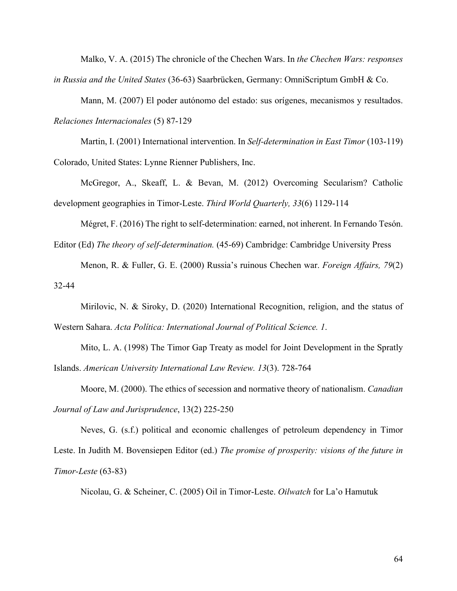Malko, V. A. (2015) The chronicle of the Chechen Wars. In *the Chechen Wars: responses in Russia and the United States* (36-63) Saarbrücken, Germany: OmniScriptum GmbH & Co.

Mann, M. (2007) El poder autónomo del estado: sus orígenes, mecanismos y resultados. *Relaciones Internacionales* (5) 87-129

Martin, I. (2001) International intervention. In *Self-determination in East Timor* (103-119) Colorado, United States: Lynne Rienner Publishers, Inc.

McGregor, A., Skeaff, L. & Bevan, M. (2012) Overcoming Secularism? Catholic development geographies in Timor-Leste. *Third World Quarterly, 33*(6) 1129-114

Mégret, F. (2016) The right to self-determination: earned, not inherent. In Fernando Tesón.

Editor (Ed) *The theory of self-determination.* (45-69) Cambridge: Cambridge University Press

Menon, R. & Fuller, G. E. (2000) Russia's ruinous Chechen war. *Foreign Affairs, 79*(2) 32-44

Mirilovic, N. & Siroky, D. (2020) International Recognition, religion, and the status of Western Sahara. *Acta Política: International Journal of Political Science. 1*.

Mito, L. A. (1998) The Timor Gap Treaty as model for Joint Development in the Spratly Islands. *American University International Law Review. 13*(3). 728-764

Moore, M. (2000). The ethics of secession and normative theory of nationalism. *Canadian Journal of Law and Jurisprudence*, 13(2) 225-250

Neves, G. (s.f.) political and economic challenges of petroleum dependency in Timor Leste. In Judith M. Bovensiepen Editor (ed.) *The promise of prosperity: visions of the future in Timor-Leste* (63-83)

Nicolau, G. & Scheiner, C. (2005) Oil in Timor-Leste. *Oilwatch* for La'o Hamutuk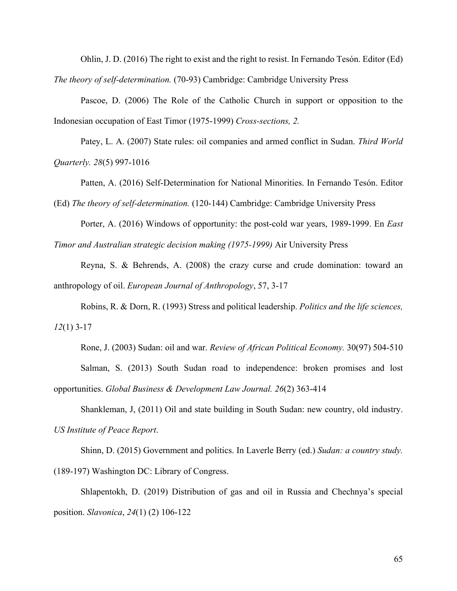Ohlin, J. D. (2016) The right to exist and the right to resist. In Fernando Tesón. Editor (Ed) *The theory of self-determination.* (70-93) Cambridge: Cambridge University Press

Pascoe, D. (2006) The Role of the Catholic Church in support or opposition to the Indonesian occupation of East Timor (1975-1999) *Cross-sections, 2.*

Patey, L. A. (2007) State rules: oil companies and armed conflict in Sudan. *Third World Quarterly. 28*(5) 997-1016

Patten, A. (2016) Self-Determination for National Minorities. In Fernando Tesón. Editor (Ed) *The theory of self-determination.* (120-144) Cambridge: Cambridge University Press

Porter, A. (2016) Windows of opportunity: the post-cold war years, 1989-1999. En *East Timor and Australian strategic decision making (1975-1999)* Air University Press

Reyna, S. & Behrends, A. (2008) the crazy curse and crude domination: toward an anthropology of oil. *European Journal of Anthropology*, 57, 3-17

Robins, R. & Dorn, R. (1993) Stress and political leadership. *Politics and the life sciences, 12*(1) 3-17

Rone, J. (2003) Sudan: oil and war. *Review of African Political Economy.* 30(97) 504-510 Salman, S. (2013) South Sudan road to independence: broken promises and lost opportunities. *Global Business & Development Law Journal. 26*(2) 363-414

Shankleman, J, (2011) Oil and state building in South Sudan: new country, old industry. *US Institute of Peace Report*.

Shinn, D. (2015) Government and politics. In Laverle Berry (ed.) *Sudan: a country study.* (189-197) Washington DC: Library of Congress.

Shlapentokh, D. (2019) Distribution of gas and oil in Russia and Chechnya's special position. *Slavonica*, *24*(1) (2) 106-122